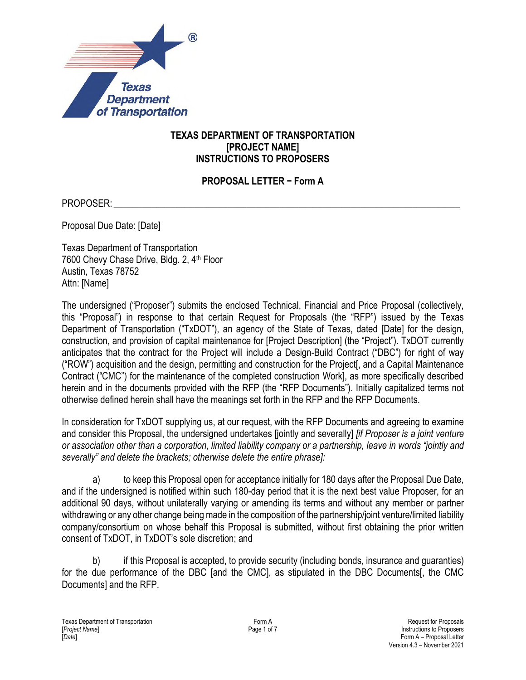

### **TEXAS DEPARTMENT OF TRANSPORTATION [PROJECT NAME] INSTRUCTIONS TO PROPOSERS**

### **PROPOSAL LETTER − Form A**

PROPOSER:

Proposal Due Date: [Date]

Texas Department of Transportation 7600 Chevy Chase Drive, Bldg. 2, 4<sup>th</sup> Floor Austin, Texas 78752 Attn: [Name]

The undersigned ("Proposer") submits the enclosed Technical, Financial and Price Proposal (collectively, this "Proposal") in response to that certain Request for Proposals (the "RFP") issued by the Texas Department of Transportation ("TxDOT"), an agency of the State of Texas, dated [Date] for the design, construction, and provision of capital maintenance for [Project Description] (the "Project"). TxDOT currently anticipates that the contract for the Project will include a Design-Build Contract ("DBC") for right of way ("ROW") acquisition and the design, permitting and construction for the Project[, and a Capital Maintenance Contract ("CMC") for the maintenance of the completed construction Work], as more specifically described herein and in the documents provided with the RFP (the "RFP Documents"). Initially capitalized terms not otherwise defined herein shall have the meanings set forth in the RFP and the RFP Documents.

In consideration for TxDOT supplying us, at our request, with the RFP Documents and agreeing to examine and consider this Proposal, the undersigned undertakes [jointly and severally] *[if Proposer is a joint venture or association other than a corporation, limited liability company or a partnership, leave in words "jointly and severally" and delete the brackets; otherwise delete the entire phrase]:*

a) to keep this Proposal open for acceptance initially for 180 days after the Proposal Due Date, and if the undersigned is notified within such 180-day period that it is the next best value Proposer, for an additional 90 days, without unilaterally varying or amending its terms and without any member or partner withdrawing or any other change being made in the composition of the partnership/joint venture/limited liability company/consortium on whose behalf this Proposal is submitted, without first obtaining the prior written consent of TxDOT, in TxDOT's sole discretion; and

b) if this Proposal is accepted, to provide security (including bonds, insurance and guaranties) for the due performance of the DBC [and the CMC], as stipulated in the DBC Documents[, the CMC Documents] and the RFP.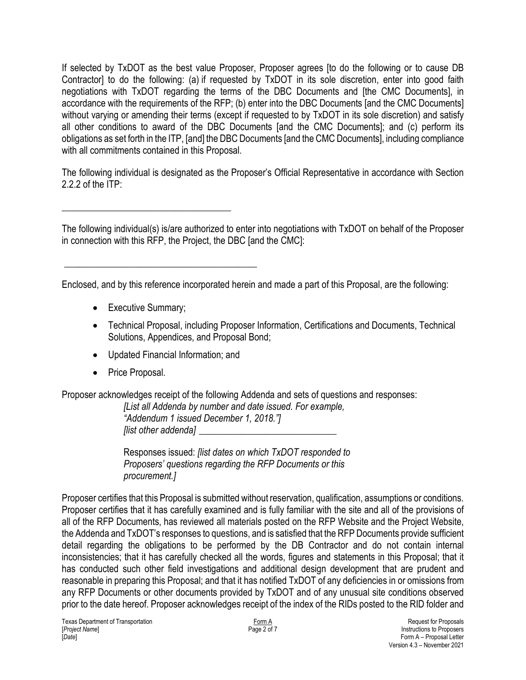If selected by TxDOT as the best value Proposer, Proposer agrees [to do the following or to cause DB Contractor] to do the following: (a) if requested by TxDOT in its sole discretion, enter into good faith negotiations with TxDOT regarding the terms of the DBC Documents and [the CMC Documents], in accordance with the requirements of the RFP; (b) enter into the DBC Documents [and the CMC Documents] without varying or amending their terms (except if requested to by TxDOT in its sole discretion) and satisfy all other conditions to award of the DBC Documents [and the CMC Documents]; and (c) perform its obligations as set forth in the ITP, [and] the DBC Documents [and the CMC Documents], including compliance with all commitments contained in this Proposal.

The following individual is designated as the Proposer's Official Representative in accordance with Section 2.2.2 of the ITP:

The following individual(s) is/are authorized to enter into negotiations with TxDOT on behalf of the Proposer in connection with this RFP, the Project, the DBC [and the CMC]:

Enclosed, and by this reference incorporated herein and made a part of this Proposal, are the following:

• Executive Summary;

\_\_\_\_\_\_\_\_\_\_\_\_\_\_\_\_\_\_\_\_\_\_\_\_\_\_\_\_\_\_\_\_\_\_\_\_

 $\frac{1}{2}$  , and the set of the set of the set of the set of the set of the set of the set of the set of the set of the set of the set of the set of the set of the set of the set of the set of the set of the set of the set

- Technical Proposal, including Proposer Information, Certifications and Documents, Technical Solutions, Appendices, and Proposal Bond;
- Updated Financial Information; and
- Price Proposal.

Proposer acknowledges receipt of the following Addenda and sets of questions and responses:

*[List all Addenda by number and date issued. For example, "Addendum 1 issued December 1, 2018."] [list other addenda] \_\_\_\_\_\_\_\_\_\_\_\_\_\_\_\_\_\_\_\_\_\_\_\_\_\_\_\_\_* 

Responses issued: *[list dates on which TxDOT responded to Proposers' questions regarding the RFP Documents or this procurement.]*

Proposer certifies that this Proposal is submitted without reservation, qualification, assumptions or conditions. Proposer certifies that it has carefully examined and is fully familiar with the site and all of the provisions of all of the RFP Documents, has reviewed all materials posted on the RFP Website and the Project Website, the Addenda and TxDOT's responses to questions, and is satisfied that the RFP Documents provide sufficient detail regarding the obligations to be performed by the DB Contractor and do not contain internal inconsistencies; that it has carefully checked all the words, figures and statements in this Proposal; that it has conducted such other field investigations and additional design development that are prudent and reasonable in preparing this Proposal; and that it has notified TxDOT of any deficiencies in or omissions from any RFP Documents or other documents provided by TxDOT and of any unusual site conditions observed prior to the date hereof. Proposer acknowledges receipt of the index of the RIDs posted to the RID folder and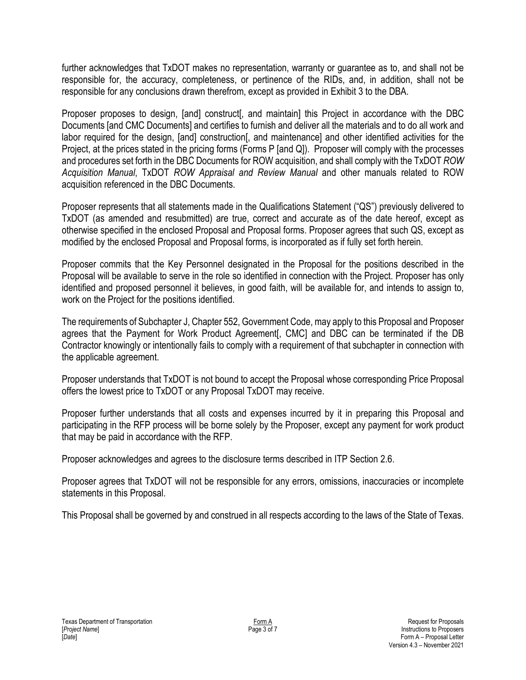further acknowledges that TxDOT makes no representation, warranty or guarantee as to, and shall not be responsible for, the accuracy, completeness, or pertinence of the RIDs, and, in addition, shall not be responsible for any conclusions drawn therefrom, except as provided in Exhibit 3 to the DBA.

Proposer proposes to design, [and] construct[, and maintain] this Project in accordance with the DBC Documents [and CMC Documents] and certifies to furnish and deliver all the materials and to do all work and labor required for the design, [and] construction[, and maintenance] and other identified activities for the Project, at the prices stated in the pricing forms (Forms P [and Q]). Proposer will comply with the processes and procedures set forth in the DBC Documents for ROW acquisition, and shall comply with the TxDOT *ROW Acquisition Manual*, TxDOT *ROW Appraisal and Review Manual* and other manuals related to ROW acquisition referenced in the DBC Documents.

Proposer represents that all statements made in the Qualifications Statement ("QS") previously delivered to TxDOT (as amended and resubmitted) are true, correct and accurate as of the date hereof, except as otherwise specified in the enclosed Proposal and Proposal forms. Proposer agrees that such QS, except as modified by the enclosed Proposal and Proposal forms, is incorporated as if fully set forth herein.

Proposer commits that the Key Personnel designated in the Proposal for the positions described in the Proposal will be available to serve in the role so identified in connection with the Project. Proposer has only identified and proposed personnel it believes, in good faith, will be available for, and intends to assign to, work on the Project for the positions identified.

The requirements of Subchapter J, Chapter 552, Government Code, may apply to this Proposal and Proposer agrees that the Payment for Work Product Agreement[, CMC] and DBC can be terminated if the DB Contractor knowingly or intentionally fails to comply with a requirement of that subchapter in connection with the applicable agreement.

Proposer understands that TxDOT is not bound to accept the Proposal whose corresponding Price Proposal offers the lowest price to TxDOT or any Proposal TxDOT may receive.

Proposer further understands that all costs and expenses incurred by it in preparing this Proposal and participating in the RFP process will be borne solely by the Proposer, except any payment for work product that may be paid in accordance with the RFP.

Proposer acknowledges and agrees to the disclosure terms described in ITP Section 2.6.

Proposer agrees that TxDOT will not be responsible for any errors, omissions, inaccuracies or incomplete statements in this Proposal.

This Proposal shall be governed by and construed in all respects according to the laws of the State of Texas.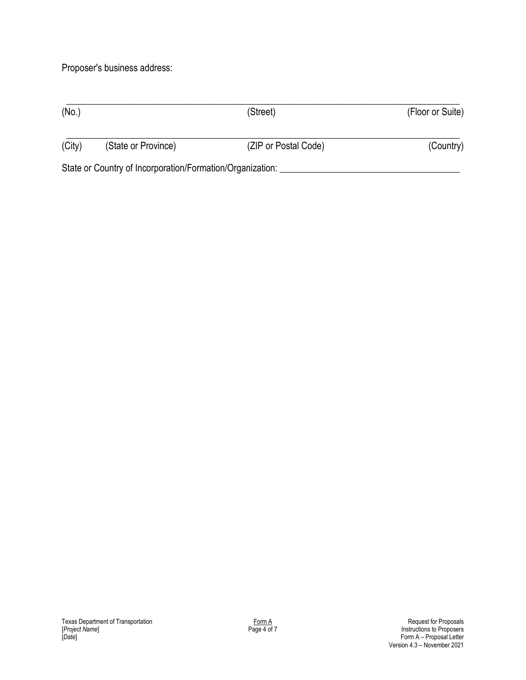Proposer's business address:

| (No.)  |                                                           | (Street)             | (Floor or Suite) |
|--------|-----------------------------------------------------------|----------------------|------------------|
| (City) | (State or Province)                                       | (ZIP or Postal Code) | (Country)        |
|        | State or Country of Incorporation/Formation/Organization: |                      |                  |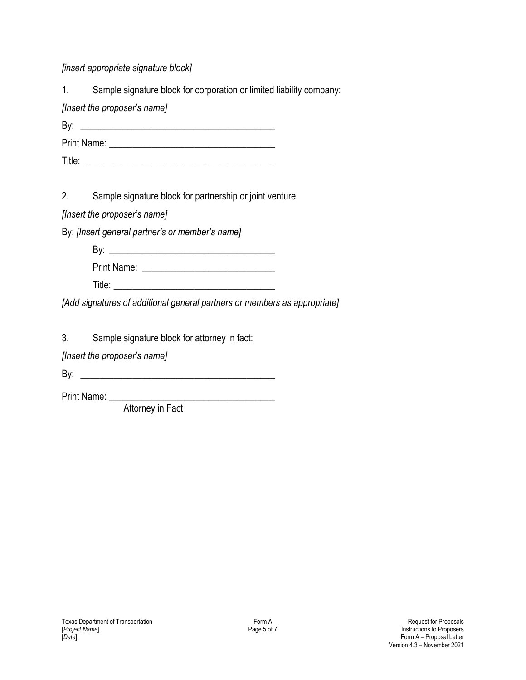*[insert appropriate signature block]* 

1. Sample signature block for corporation or limited liability company:

*[Insert the proposer's name]*

By: \_\_\_\_\_\_\_\_\_\_\_\_\_\_\_\_\_\_\_\_\_\_\_\_\_\_\_\_\_\_\_\_\_\_\_\_\_\_\_\_\_

Print Name: \_\_\_\_\_\_\_\_\_\_\_\_\_\_\_\_\_\_\_\_\_\_\_\_\_\_\_\_\_\_\_\_\_\_\_

 $\mathsf{Title:}\hspace{2.2cm}$ 

2. Sample signature block for partnership or joint venture:

*[Insert the proposer's name]*

By: *[Insert general partner's or member's name]*

By: \_\_\_\_\_\_\_\_\_\_\_\_\_\_\_\_\_\_\_\_\_\_\_\_\_\_\_\_\_\_\_\_\_\_\_

Print Name: \_\_\_\_\_\_\_\_\_\_\_\_\_\_\_\_\_\_\_\_\_\_\_\_\_\_\_\_

 $\blacksquare$  Title:

*[Add signatures of additional general partners or members as appropriate]* 

3. Sample signature block for attorney in fact:

*[Insert the proposer's name]* 

By: \_\_\_\_\_\_\_\_\_\_\_\_\_\_\_\_\_\_\_\_\_\_\_\_\_\_\_\_\_\_\_\_\_\_\_\_\_\_\_\_\_

Print Name:

Attorney in Fact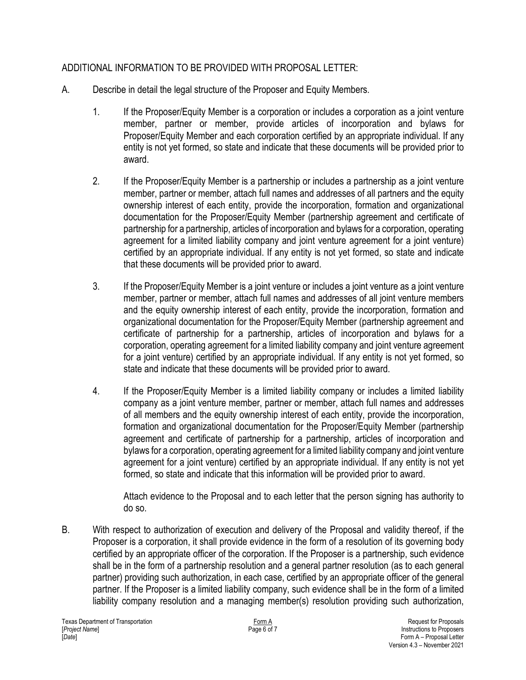# ADDITIONAL INFORMATION TO BE PROVIDED WITH PROPOSAL LETTER:

- A. Describe in detail the legal structure of the Proposer and Equity Members.
	- 1. If the Proposer/Equity Member is a corporation or includes a corporation as a joint venture member, partner or member, provide articles of incorporation and bylaws for Proposer/Equity Member and each corporation certified by an appropriate individual. If any entity is not yet formed, so state and indicate that these documents will be provided prior to award.
	- 2. If the Proposer/Equity Member is a partnership or includes a partnership as a joint venture member, partner or member, attach full names and addresses of all partners and the equity ownership interest of each entity, provide the incorporation, formation and organizational documentation for the Proposer/Equity Member (partnership agreement and certificate of partnership for a partnership, articles of incorporation and bylaws for a corporation, operating agreement for a limited liability company and joint venture agreement for a joint venture) certified by an appropriate individual. If any entity is not yet formed, so state and indicate that these documents will be provided prior to award.
	- 3. If the Proposer/Equity Member is a joint venture or includes a joint venture as a joint venture member, partner or member, attach full names and addresses of all joint venture members and the equity ownership interest of each entity, provide the incorporation, formation and organizational documentation for the Proposer/Equity Member (partnership agreement and certificate of partnership for a partnership, articles of incorporation and bylaws for a corporation, operating agreement for a limited liability company and joint venture agreement for a joint venture) certified by an appropriate individual. If any entity is not yet formed, so state and indicate that these documents will be provided prior to award.
	- 4. If the Proposer/Equity Member is a limited liability company or includes a limited liability company as a joint venture member, partner or member, attach full names and addresses of all members and the equity ownership interest of each entity, provide the incorporation, formation and organizational documentation for the Proposer/Equity Member (partnership agreement and certificate of partnership for a partnership, articles of incorporation and bylaws for a corporation, operating agreement for a limited liability company and joint venture agreement for a joint venture) certified by an appropriate individual. If any entity is not yet formed, so state and indicate that this information will be provided prior to award.

Attach evidence to the Proposal and to each letter that the person signing has authority to do so.

B. With respect to authorization of execution and delivery of the Proposal and validity thereof, if the Proposer is a corporation, it shall provide evidence in the form of a resolution of its governing body certified by an appropriate officer of the corporation. If the Proposer is a partnership, such evidence shall be in the form of a partnership resolution and a general partner resolution (as to each general partner) providing such authorization, in each case, certified by an appropriate officer of the general partner. If the Proposer is a limited liability company, such evidence shall be in the form of a limited liability company resolution and a managing member(s) resolution providing such authorization,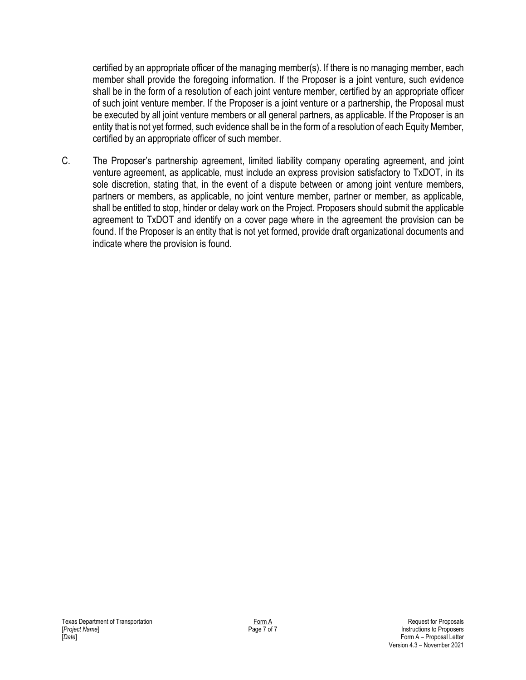certified by an appropriate officer of the managing member(s). If there is no managing member, each member shall provide the foregoing information. If the Proposer is a joint venture, such evidence shall be in the form of a resolution of each joint venture member, certified by an appropriate officer of such joint venture member. If the Proposer is a joint venture or a partnership, the Proposal must be executed by all joint venture members or all general partners, as applicable. If the Proposer is an entity that is not yet formed, such evidence shall be in the form of a resolution of each Equity Member, certified by an appropriate officer of such member.

C. The Proposer's partnership agreement, limited liability company operating agreement, and joint venture agreement, as applicable, must include an express provision satisfactory to TxDOT, in its sole discretion, stating that, in the event of a dispute between or among joint venture members, partners or members, as applicable, no joint venture member, partner or member, as applicable, shall be entitled to stop, hinder or delay work on the Project. Proposers should submit the applicable agreement to TxDOT and identify on a cover page where in the agreement the provision can be found. If the Proposer is an entity that is not yet formed, provide draft organizational documents and indicate where the provision is found.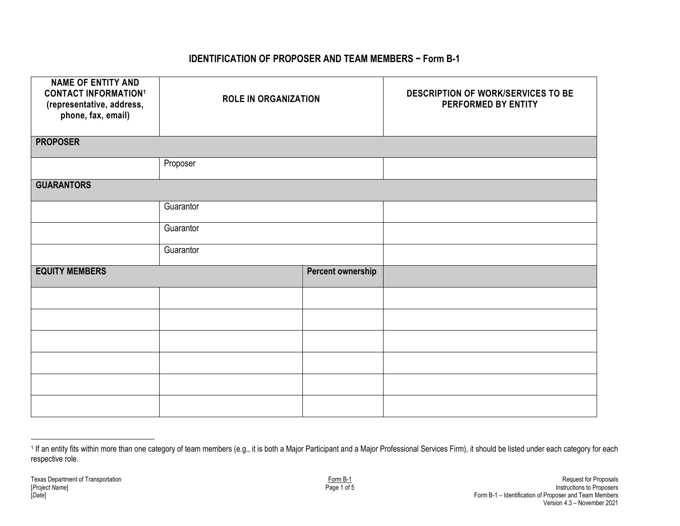### **IDENTIFICATION OF PROPOSER AND TEAM MEMBERS − Form B-1**

| <b>NAME OF ENTITY AND</b><br><b>CONTACT INFORMATION1</b><br>(representative, address,<br>phone, fax, email) | <b>ROLE IN ORGANIZATION</b> |                          | <b>DESCRIPTION OF WORK/SERVICES TO BE</b><br>PERFORMED BY ENTITY |
|-------------------------------------------------------------------------------------------------------------|-----------------------------|--------------------------|------------------------------------------------------------------|
| <b>PROPOSER</b>                                                                                             |                             |                          |                                                                  |
|                                                                                                             | Proposer                    |                          |                                                                  |
| <b>GUARANTORS</b>                                                                                           |                             |                          |                                                                  |
|                                                                                                             | Guarantor                   |                          |                                                                  |
|                                                                                                             | Guarantor                   |                          |                                                                  |
|                                                                                                             | Guarantor                   |                          |                                                                  |
| <b>EQUITY MEMBERS</b>                                                                                       |                             | <b>Percent ownership</b> |                                                                  |
|                                                                                                             |                             |                          |                                                                  |
|                                                                                                             |                             |                          |                                                                  |
|                                                                                                             |                             |                          |                                                                  |
|                                                                                                             |                             |                          |                                                                  |
|                                                                                                             |                             |                          |                                                                  |
|                                                                                                             |                             |                          |                                                                  |

<sup>&</sup>lt;sup>1</sup> If an entity fits within more than one category of team members (e.g., it is both a Major Participant and a Major Professional Services Firm), it should be listed under each category for each respective role.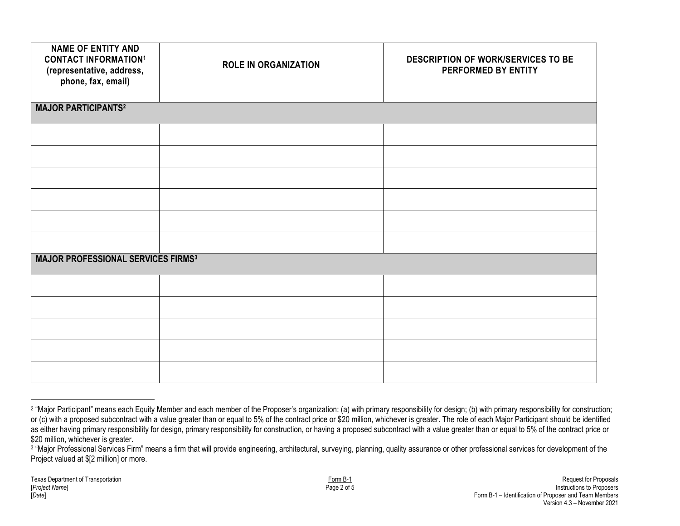| <b>NAME OF ENTITY AND</b><br><b>CONTACT INFORMATION1</b><br>(representative, address,<br>phone, fax, email) | <b>ROLE IN ORGANIZATION</b> | <b>DESCRIPTION OF WORK/SERVICES TO BE</b><br>PERFORMED BY ENTITY |  |  |
|-------------------------------------------------------------------------------------------------------------|-----------------------------|------------------------------------------------------------------|--|--|
| <b>MAJOR PARTICIPANTS2</b>                                                                                  |                             |                                                                  |  |  |
|                                                                                                             |                             |                                                                  |  |  |
|                                                                                                             |                             |                                                                  |  |  |
|                                                                                                             |                             |                                                                  |  |  |
|                                                                                                             |                             |                                                                  |  |  |
|                                                                                                             |                             |                                                                  |  |  |
|                                                                                                             |                             |                                                                  |  |  |
| <b>MAJOR PROFESSIONAL SERVICES FIRMS3</b>                                                                   |                             |                                                                  |  |  |
|                                                                                                             |                             |                                                                  |  |  |
|                                                                                                             |                             |                                                                  |  |  |
|                                                                                                             |                             |                                                                  |  |  |
|                                                                                                             |                             |                                                                  |  |  |
|                                                                                                             |                             |                                                                  |  |  |

<sup>&</sup>lt;sup>2</sup> "Major Participant" means each Equity Member and each member of the Proposer's organization: (a) with primary responsibility for design; (b) with primary responsibility for construction; or (c) with a proposed subcontract with a value greater than or equal to 5% of the contract price or \$20 million, whichever is greater. The role of each Major Participant should be identified as either having primary responsibility for design, primary responsibility for construction, or having a proposed subcontract with a value greater than or equal to 5% of the contract price or \$20 million, whichever is greater.

<sup>3</sup> "Major Professional Services Firm" means a firm that will provide engineering, architectural, surveying, planning, quality assurance or other professional services for development of the Project valued at \$[2 million] or more.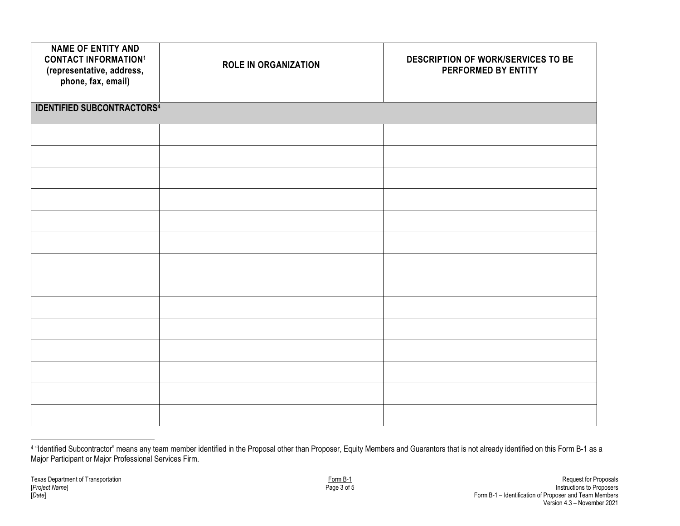| <b>NAME OF ENTITY AND</b><br><b>CONTACT INFORMATION1</b><br>(representative, address,<br>phone, fax, email) | <b>ROLE IN ORGANIZATION</b> | <b>DESCRIPTION OF WORK/SERVICES TO BE</b><br>PERFORMED BY ENTITY |
|-------------------------------------------------------------------------------------------------------------|-----------------------------|------------------------------------------------------------------|
| <b>IDENTIFIED SUBCONTRACTORS4</b>                                                                           |                             |                                                                  |
|                                                                                                             |                             |                                                                  |
|                                                                                                             |                             |                                                                  |
|                                                                                                             |                             |                                                                  |
|                                                                                                             |                             |                                                                  |
|                                                                                                             |                             |                                                                  |
|                                                                                                             |                             |                                                                  |
|                                                                                                             |                             |                                                                  |
|                                                                                                             |                             |                                                                  |
|                                                                                                             |                             |                                                                  |
|                                                                                                             |                             |                                                                  |
|                                                                                                             |                             |                                                                  |
|                                                                                                             |                             |                                                                  |
|                                                                                                             |                             |                                                                  |
|                                                                                                             |                             |                                                                  |

<sup>4</sup> "Identified Subcontractor" means any team member identified in the Proposal other than Proposer, Equity Members and Guarantors that is not already identified on this Form B-1 as a Major Participant or Major Professional Services Firm.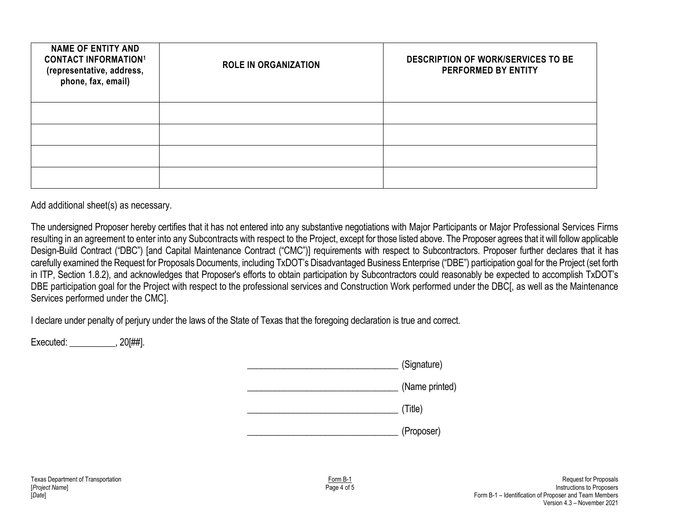| <b>NAME OF ENTITY AND</b><br><b>CONTACT INFORMATION1</b><br>(representative, address,<br>phone, fax, email) | <b>ROLE IN ORGANIZATION</b> | <b>DESCRIPTION OF WORK/SERVICES TO BE</b><br>PERFORMED BY ENTITY |
|-------------------------------------------------------------------------------------------------------------|-----------------------------|------------------------------------------------------------------|
|                                                                                                             |                             |                                                                  |
|                                                                                                             |                             |                                                                  |
|                                                                                                             |                             |                                                                  |
|                                                                                                             |                             |                                                                  |

Add additional sheet(s) as necessary.

The undersigned Proposer hereby certifies that it has not entered into any substantive negotiations with Major Participants or Major Professional Services Firms resulting in an agreement to enter into any Subcontracts with respect to the Project, except for those listed above. The Proposer agrees that it will follow applicable Design-Build Contract ("DBC") [and Capital Maintenance Contract ("CMC")] requirements with respect to Subcontractors*.* Proposer further declares that it has carefully examined the Request for Proposals Documents, including TxDOT's Disadvantaged Business Enterprise ("DBE") participation goal for the Project (set forth in ITP, Section 1.8.2), and acknowledges that Proposer's efforts to obtain participation by Subcontractors could reasonably be expected to accomplish TxDOT's DBE participation goal for the Project with respect to the professional services and Construction Work performed under the DBC[, as well as the Maintenance Services performed under the CMC].

I declare under penalty of perjury under the laws of the State of Texas that the foregoing declaration is true and correct.

Executed: \_\_\_\_\_\_\_\_\_\_, 20[##].

| (Signature)    |
|----------------|
| (Name printed) |
| (Title)        |
| (Proposer)     |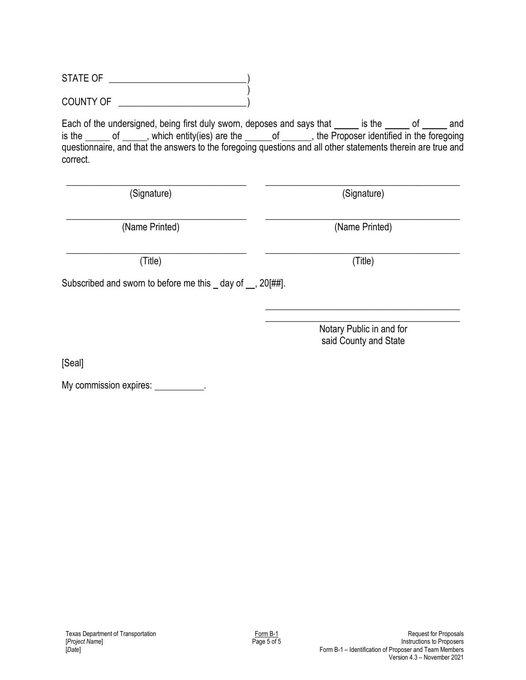| STATE OF         |  |
|------------------|--|
|                  |  |
| <b>COUNTY OF</b> |  |

Each of the undersigned, being first duly sworn, deposes and says that was is the wave of  $\frac{1}{\sqrt{1-\frac{1}{n}}}$  and is the <u>of seconal</u>, which entity(ies) are the **of the of the State Proposer identified in the foregoing** questionnaire, and that the answers to the foregoing questions and all other statements therein are true and correct.

| (Signature)                                                 | (Signature)    |
|-------------------------------------------------------------|----------------|
| (Name Printed)                                              | (Name Printed) |
| (Title)                                                     | (Title)        |
| Subscribed and sworn to before me this _ day of __, 20[##]. |                |

Notary Public in and for said County and State

 $\overline{\phantom{a}}$  , we can consider the constraint of the constraint  $\overline{\phantom{a}}$  $\overline{\phantom{a}}$  , we can consider the constraint of the constraint  $\overline{\phantom{a}}$ 

[Seal]

My commission expires: \_\_\_\_\_\_\_\_\_\_\_.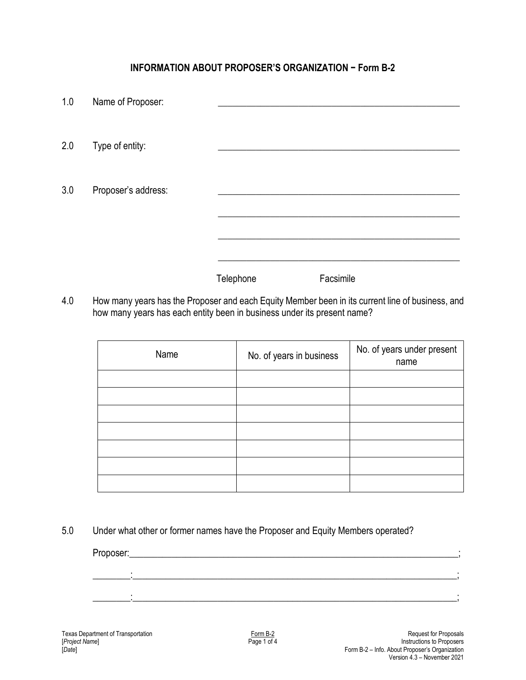### **INFORMATION ABOUT PROPOSER'S ORGANIZATION − Form B-2**

| 1.0 | Name of Proposer:   |           |           |
|-----|---------------------|-----------|-----------|
| 2.0 | Type of entity:     |           |           |
| 3.0 | Proposer's address: |           |           |
|     |                     | Telephone | Facsimile |

4.0 How many years has the Proposer and each Equity Member been in its current line of business, and how many years has each entity been in business under its present name?

| Name | No. of years in business | No. of years under present<br>name |
|------|--------------------------|------------------------------------|
|      |                          |                                    |
|      |                          |                                    |
|      |                          |                                    |
|      |                          |                                    |
|      |                          |                                    |
|      |                          |                                    |
|      |                          |                                    |

5.0 Under what other or former names have the Proposer and Equity Members operated?

Proposer:\_\_\_\_\_\_\_\_\_\_\_\_\_\_\_\_\_\_\_\_\_\_\_\_\_\_\_\_\_\_\_\_\_\_\_\_\_\_\_\_\_\_\_\_\_\_\_\_\_\_\_\_\_\_\_\_\_\_\_\_\_\_\_\_\_\_\_\_\_\_;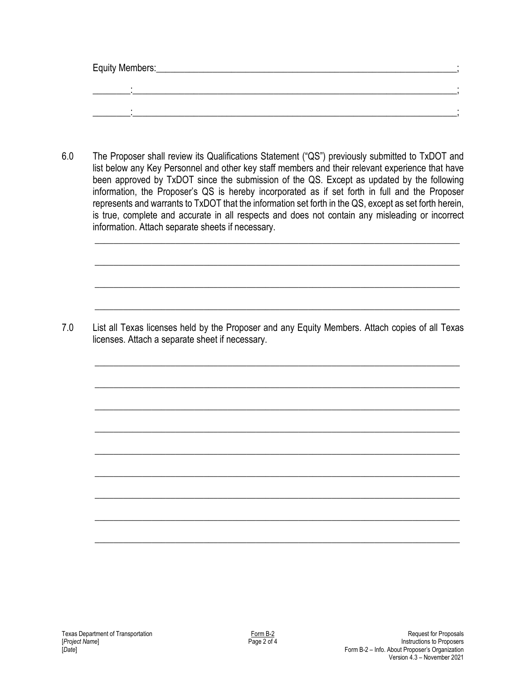| Equity Members: |  |  |
|-----------------|--|--|
|                 |  |  |
|                 |  |  |
|                 |  |  |

6.0 The Proposer shall review its Qualifications Statement ("QS") previously submitted to TxDOT and list below any Key Personnel and other key staff members and their relevant experience that have been approved by TxDOT since the submission of the QS. Except as updated by the following information, the Proposer's QS is hereby incorporated as if set forth in full and the Proposer represents and warrants to TxDOT that the information set forth in the QS, except as set forth herein, is true, complete and accurate in all respects and does not contain any misleading or incorrect information. Attach separate sheets if necessary.

\_\_\_\_\_\_\_\_\_\_\_\_\_\_\_\_\_\_\_\_\_\_\_\_\_\_\_\_\_\_\_\_\_\_\_\_\_\_\_\_\_\_\_\_\_\_\_\_\_\_\_\_\_\_\_\_\_\_\_\_\_\_\_\_\_\_\_\_\_\_\_\_\_\_\_\_\_

\_\_\_\_\_\_\_\_\_\_\_\_\_\_\_\_\_\_\_\_\_\_\_\_\_\_\_\_\_\_\_\_\_\_\_\_\_\_\_\_\_\_\_\_\_\_\_\_\_\_\_\_\_\_\_\_\_\_\_\_\_\_\_\_\_\_\_\_\_\_\_\_\_\_\_\_\_

\_\_\_\_\_\_\_\_\_\_\_\_\_\_\_\_\_\_\_\_\_\_\_\_\_\_\_\_\_\_\_\_\_\_\_\_\_\_\_\_\_\_\_\_\_\_\_\_\_\_\_\_\_\_\_\_\_\_\_\_\_\_\_\_\_\_\_\_\_\_\_\_\_\_\_\_\_

\_\_\_\_\_\_\_\_\_\_\_\_\_\_\_\_\_\_\_\_\_\_\_\_\_\_\_\_\_\_\_\_\_\_\_\_\_\_\_\_\_\_\_\_\_\_\_\_\_\_\_\_\_\_\_\_\_\_\_\_\_\_\_\_\_\_\_\_\_\_\_\_\_\_\_\_\_

\_\_\_\_\_\_\_\_\_\_\_\_\_\_\_\_\_\_\_\_\_\_\_\_\_\_\_\_\_\_\_\_\_\_\_\_\_\_\_\_\_\_\_\_\_\_\_\_\_\_\_\_\_\_\_\_\_\_\_\_\_\_\_\_\_\_\_\_\_\_\_\_\_\_\_\_\_

\_\_\_\_\_\_\_\_\_\_\_\_\_\_\_\_\_\_\_\_\_\_\_\_\_\_\_\_\_\_\_\_\_\_\_\_\_\_\_\_\_\_\_\_\_\_\_\_\_\_\_\_\_\_\_\_\_\_\_\_\_\_\_\_\_\_\_\_\_\_\_\_\_\_\_\_\_

\_\_\_\_\_\_\_\_\_\_\_\_\_\_\_\_\_\_\_\_\_\_\_\_\_\_\_\_\_\_\_\_\_\_\_\_\_\_\_\_\_\_\_\_\_\_\_\_\_\_\_\_\_\_\_\_\_\_\_\_\_\_\_\_\_\_\_\_\_\_\_\_\_\_\_\_\_

\_\_\_\_\_\_\_\_\_\_\_\_\_\_\_\_\_\_\_\_\_\_\_\_\_\_\_\_\_\_\_\_\_\_\_\_\_\_\_\_\_\_\_\_\_\_\_\_\_\_\_\_\_\_\_\_\_\_\_\_\_\_\_\_\_\_\_\_\_\_\_\_\_\_\_\_\_

\_\_\_\_\_\_\_\_\_\_\_\_\_\_\_\_\_\_\_\_\_\_\_\_\_\_\_\_\_\_\_\_\_\_\_\_\_\_\_\_\_\_\_\_\_\_\_\_\_\_\_\_\_\_\_\_\_\_\_\_\_\_\_\_\_\_\_\_\_\_\_\_\_\_\_\_\_

\_\_\_\_\_\_\_\_\_\_\_\_\_\_\_\_\_\_\_\_\_\_\_\_\_\_\_\_\_\_\_\_\_\_\_\_\_\_\_\_\_\_\_\_\_\_\_\_\_\_\_\_\_\_\_\_\_\_\_\_\_\_\_\_\_\_\_\_\_\_\_\_\_\_\_\_\_

\_\_\_\_\_\_\_\_\_\_\_\_\_\_\_\_\_\_\_\_\_\_\_\_\_\_\_\_\_\_\_\_\_\_\_\_\_\_\_\_\_\_\_\_\_\_\_\_\_\_\_\_\_\_\_\_\_\_\_\_\_\_\_\_\_\_\_\_\_\_\_\_\_\_\_\_\_

\_\_\_\_\_\_\_\_\_\_\_\_\_\_\_\_\_\_\_\_\_\_\_\_\_\_\_\_\_\_\_\_\_\_\_\_\_\_\_\_\_\_\_\_\_\_\_\_\_\_\_\_\_\_\_\_\_\_\_\_\_\_\_\_\_\_\_\_\_\_\_\_\_\_\_\_\_

\_\_\_\_\_\_\_\_\_\_\_\_\_\_\_\_\_\_\_\_\_\_\_\_\_\_\_\_\_\_\_\_\_\_\_\_\_\_\_\_\_\_\_\_\_\_\_\_\_\_\_\_\_\_\_\_\_\_\_\_\_\_\_\_\_\_\_\_\_\_\_\_\_\_\_\_\_

7.0 List all Texas licenses held by the Proposer and any Equity Members. Attach copies of all Texas licenses. Attach a separate sheet if necessary.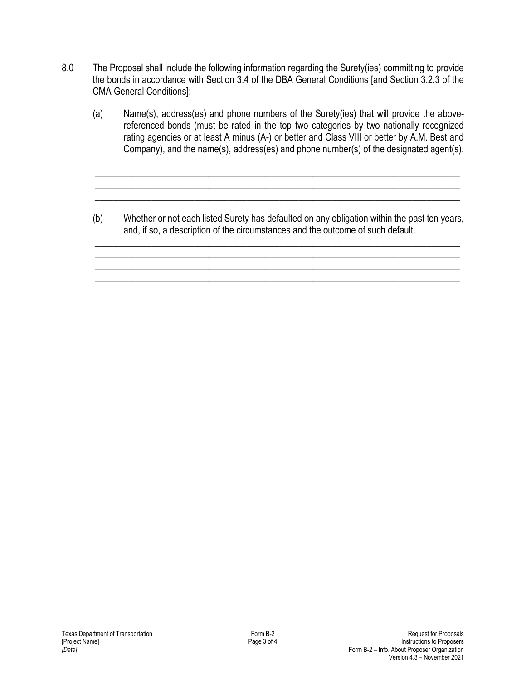- 8.0 The Proposal shall include the following information regarding the Surety(ies) committing to provide the bonds in accordance with Section 3.4 of the DBA General Conditions [and Section 3.2.3 of the CMA General Conditions]:
	- (a) Name(s), address(es) and phone numbers of the Surety(ies) that will provide the abovereferenced bonds (must be rated in the top two categories by two nationally recognized rating agencies or at least A minus (A-) or better and Class VIII or better by A.M. Best and Company), and the name(s), address(es) and phone number(s) of the designated agent(s).

 \_\_\_\_\_\_\_\_\_\_\_\_\_\_\_\_\_\_\_\_\_\_\_\_\_\_\_\_\_\_\_\_\_\_\_\_\_\_\_\_\_\_\_\_\_\_\_\_\_\_\_\_\_\_\_\_\_\_\_\_\_\_\_\_\_\_\_\_\_\_\_\_\_\_\_\_\_ \_\_\_\_\_\_\_\_\_\_\_\_\_\_\_\_\_\_\_\_\_\_\_\_\_\_\_\_\_\_\_\_\_\_\_\_\_\_\_\_\_\_\_\_\_\_\_\_\_\_\_\_\_\_\_\_\_\_\_\_\_\_\_\_\_\_\_\_\_\_\_\_\_\_\_\_\_ \_\_\_\_\_\_\_\_\_\_\_\_\_\_\_\_\_\_\_\_\_\_\_\_\_\_\_\_\_\_\_\_\_\_\_\_\_\_\_\_\_\_\_\_\_\_\_\_\_\_\_\_\_\_\_\_\_\_\_\_\_\_\_\_\_\_\_\_\_\_\_\_\_\_\_\_\_ \_\_\_\_\_\_\_\_\_\_\_\_\_\_\_\_\_\_\_\_\_\_\_\_\_\_\_\_\_\_\_\_\_\_\_\_\_\_\_\_\_\_\_\_\_\_\_\_\_\_\_\_\_\_\_\_\_\_\_\_\_\_\_\_\_\_\_\_\_\_\_\_\_\_\_\_\_

(b) Whether or not each listed Surety has defaulted on any obligation within the past ten years, and, if so, a description of the circumstances and the outcome of such default.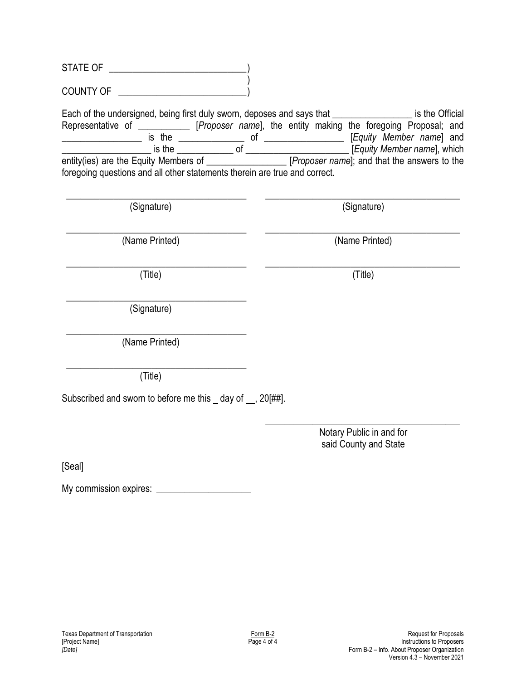| STATE OF         |  |
|------------------|--|
|                  |  |
| <b>COUNTY OF</b> |  |

| Each of the undersigned, being first duly sworn, deposes and says that                |        |                                                                |    |  |  |  | is the Official             |  |
|---------------------------------------------------------------------------------------|--------|----------------------------------------------------------------|----|--|--|--|-----------------------------|--|
| Representative of ________                                                            |        | [Proposer name], the entity making the foregoing Proposal; and |    |  |  |  |                             |  |
|                                                                                       | is the |                                                                | 0T |  |  |  | [Equity Member name] and    |  |
|                                                                                       | is the |                                                                | ΩT |  |  |  | [Equity Member name], which |  |
| entity(ies) are the Equity Members of<br>[Proposer name]; and that the answers to the |        |                                                                |    |  |  |  |                             |  |
| foregoing questions and all other statements therein are true and correct.            |        |                                                                |    |  |  |  |                             |  |

| (Signature)    | (Signature)    |
|----------------|----------------|
| (Name Printed) | (Name Printed) |
| (Title)        | (Title)        |
| (Signature)    |                |
| (Name Printed) |                |
| (Title)        |                |

Subscribed and sworn to before me this  $\_$  day of  $\_$ , 20[##].

Notary Public in and for said County and State

 $\overline{\phantom{a}}$  , we can consider the constraint of the constraint  $\overline{\phantom{a}}$ 

[Seal]

My commission expires: \_\_\_\_\_\_\_\_\_\_\_\_\_\_\_\_\_\_\_\_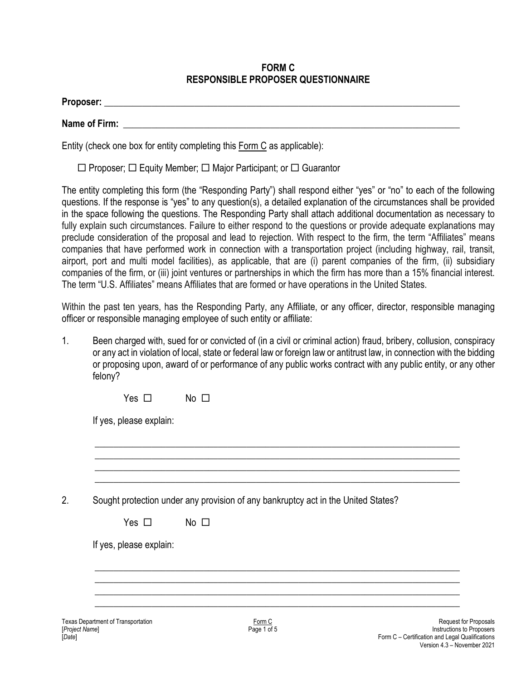#### **FORM C RESPONSIBLE PROPOSER QUESTIONNAIRE**

| Proposer: |
|-----------|
|-----------|

### Name of Firm: **with a set of**  $\mathbf{F}$

Entity (check one box for entity completing this Form C as applicable):

 $\Box$  Proposer;  $\Box$  Equity Member;  $\Box$  Major Participant; or  $\Box$  Guarantor

The entity completing this form (the "Responding Party") shall respond either "yes" or "no" to each of the following questions. If the response is "yes" to any question(s), a detailed explanation of the circumstances shall be provided in the space following the questions. The Responding Party shall attach additional documentation as necessary to fully explain such circumstances. Failure to either respond to the questions or provide adequate explanations may preclude consideration of the proposal and lead to rejection. With respect to the firm, the term "Affiliates" means companies that have performed work in connection with a transportation project (including highway, rail, transit, airport, port and multi model facilities), as applicable, that are (i) parent companies of the firm, (ii) subsidiary companies of the firm, or (iii) joint ventures or partnerships in which the firm has more than a 15% financial interest. The term "U.S. Affiliates" means Affiliates that are formed or have operations in the United States.

Within the past ten years, has the Responding Party, any Affiliate, or any officer, director, responsible managing officer or responsible managing employee of such entity or affiliate:

1. Been charged with, sued for or convicted of (in a civil or criminal action) fraud, bribery, collusion, conspiracy or any act in violation of local, state or federal law or foreign law or antitrust law, in connection with the bidding or proposing upon, award of or performance of any public works contract with any public entity, or any other felony?

 \_\_\_\_\_\_\_\_\_\_\_\_\_\_\_\_\_\_\_\_\_\_\_\_\_\_\_\_\_\_\_\_\_\_\_\_\_\_\_\_\_\_\_\_\_\_\_\_\_\_\_\_\_\_\_\_\_\_\_\_\_\_\_\_\_\_\_\_\_\_\_\_\_\_\_\_\_ \_\_\_\_\_\_\_\_\_\_\_\_\_\_\_\_\_\_\_\_\_\_\_\_\_\_\_\_\_\_\_\_\_\_\_\_\_\_\_\_\_\_\_\_\_\_\_\_\_\_\_\_\_\_\_\_\_\_\_\_\_\_\_\_\_\_\_\_\_\_\_\_\_\_\_\_\_ \_\_\_\_\_\_\_\_\_\_\_\_\_\_\_\_\_\_\_\_\_\_\_\_\_\_\_\_\_\_\_\_\_\_\_\_\_\_\_\_\_\_\_\_\_\_\_\_\_\_\_\_\_\_\_\_\_\_\_\_\_\_\_\_\_\_\_\_\_\_\_\_\_\_\_\_\_ \_\_\_\_\_\_\_\_\_\_\_\_\_\_\_\_\_\_\_\_\_\_\_\_\_\_\_\_\_\_\_\_\_\_\_\_\_\_\_\_\_\_\_\_\_\_\_\_\_\_\_\_\_\_\_\_\_\_\_\_\_\_\_\_\_\_\_\_\_\_\_\_\_\_\_\_\_

 \_\_\_\_\_\_\_\_\_\_\_\_\_\_\_\_\_\_\_\_\_\_\_\_\_\_\_\_\_\_\_\_\_\_\_\_\_\_\_\_\_\_\_\_\_\_\_\_\_\_\_\_\_\_\_\_\_\_\_\_\_\_\_\_\_\_\_\_\_\_\_\_\_\_\_\_\_ \_\_\_\_\_\_\_\_\_\_\_\_\_\_\_\_\_\_\_\_\_\_\_\_\_\_\_\_\_\_\_\_\_\_\_\_\_\_\_\_\_\_\_\_\_\_\_\_\_\_\_\_\_\_\_\_\_\_\_\_\_\_\_\_\_\_\_\_\_\_\_\_\_\_\_\_\_ \_\_\_\_\_\_\_\_\_\_\_\_\_\_\_\_\_\_\_\_\_\_\_\_\_\_\_\_\_\_\_\_\_\_\_\_\_\_\_\_\_\_\_\_\_\_\_\_\_\_\_\_\_\_\_\_\_\_\_\_\_\_\_\_\_\_\_\_\_\_\_\_\_\_\_\_\_ \_\_\_\_\_\_\_\_\_\_\_\_\_\_\_\_\_\_\_\_\_\_\_\_\_\_\_\_\_\_\_\_\_\_\_\_\_\_\_\_\_\_\_\_\_\_\_\_\_\_\_\_\_\_\_\_\_\_\_\_\_\_\_\_\_\_\_\_\_\_\_\_\_\_\_\_\_

Yes  $\Box$  No  $\Box$ 

If yes, please explain:

2. Sought protection under any provision of any bankruptcy act in the United States?

| Yes □ | No □ |  |
|-------|------|--|
|       |      |  |

If yes, please explain: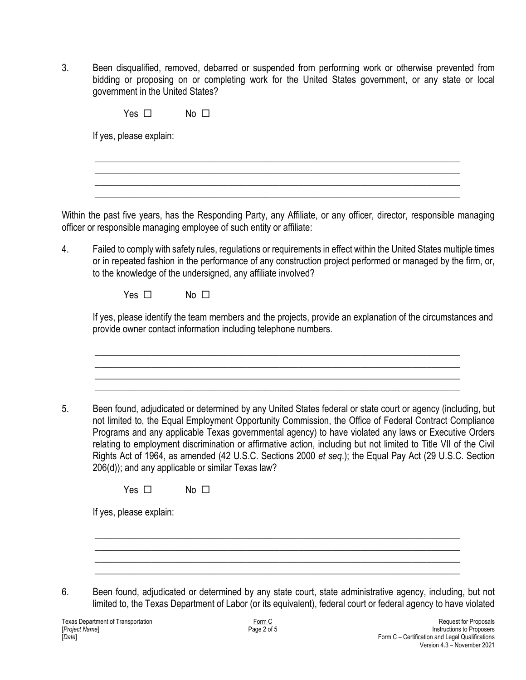3. Been disqualified, removed, debarred or suspended from performing work or otherwise prevented from bidding or proposing on or completing work for the United States government, or any state or local government in the United States?

 $Yes \Box$  No  $\Box$ 

If yes, please explain:

Within the past five years, has the Responding Party, any Affiliate, or any officer, director, responsible managing officer or responsible managing employee of such entity or affiliate:

 \_\_\_\_\_\_\_\_\_\_\_\_\_\_\_\_\_\_\_\_\_\_\_\_\_\_\_\_\_\_\_\_\_\_\_\_\_\_\_\_\_\_\_\_\_\_\_\_\_\_\_\_\_\_\_\_\_\_\_\_\_\_\_\_\_\_\_\_\_\_\_\_\_\_\_\_\_ \_\_\_\_\_\_\_\_\_\_\_\_\_\_\_\_\_\_\_\_\_\_\_\_\_\_\_\_\_\_\_\_\_\_\_\_\_\_\_\_\_\_\_\_\_\_\_\_\_\_\_\_\_\_\_\_\_\_\_\_\_\_\_\_\_\_\_\_\_\_\_\_\_\_\_\_\_ \_\_\_\_\_\_\_\_\_\_\_\_\_\_\_\_\_\_\_\_\_\_\_\_\_\_\_\_\_\_\_\_\_\_\_\_\_\_\_\_\_\_\_\_\_\_\_\_\_\_\_\_\_\_\_\_\_\_\_\_\_\_\_\_\_\_\_\_\_\_\_\_\_\_\_\_\_ \_\_\_\_\_\_\_\_\_\_\_\_\_\_\_\_\_\_\_\_\_\_\_\_\_\_\_\_\_\_\_\_\_\_\_\_\_\_\_\_\_\_\_\_\_\_\_\_\_\_\_\_\_\_\_\_\_\_\_\_\_\_\_\_\_\_\_\_\_\_\_\_\_\_\_\_\_

4. Failed to comply with safety rules, regulations or requirements in effect within the United States multiple times or in repeated fashion in the performance of any construction project performed or managed by the firm, or, to the knowledge of the undersigned, any affiliate involved?

 $Yes \Box$  No  $\Box$ 

If yes, please identify the team members and the projects, provide an explanation of the circumstances and provide owner contact information including telephone numbers.

5. Been found, adjudicated or determined by any United States federal or state court or agency (including, but not limited to, the Equal Employment Opportunity Commission, the Office of Federal Contract Compliance Programs and any applicable Texas governmental agency) to have violated any laws or Executive Orders relating to employment discrimination or affirmative action, including but not limited to Title VII of the Civil Rights Act of 1964, as amended (42 U.S.C. Sections 2000 *et seq*.); the Equal Pay Act (29 U.S.C. Section 206(d)); and any applicable or similar Texas law?

 \_\_\_\_\_\_\_\_\_\_\_\_\_\_\_\_\_\_\_\_\_\_\_\_\_\_\_\_\_\_\_\_\_\_\_\_\_\_\_\_\_\_\_\_\_\_\_\_\_\_\_\_\_\_\_\_\_\_\_\_\_\_\_\_\_\_\_\_\_\_\_\_\_\_\_\_\_ \_\_\_\_\_\_\_\_\_\_\_\_\_\_\_\_\_\_\_\_\_\_\_\_\_\_\_\_\_\_\_\_\_\_\_\_\_\_\_\_\_\_\_\_\_\_\_\_\_\_\_\_\_\_\_\_\_\_\_\_\_\_\_\_\_\_\_\_\_\_\_\_\_\_\_\_\_ \_\_\_\_\_\_\_\_\_\_\_\_\_\_\_\_\_\_\_\_\_\_\_\_\_\_\_\_\_\_\_\_\_\_\_\_\_\_\_\_\_\_\_\_\_\_\_\_\_\_\_\_\_\_\_\_\_\_\_\_\_\_\_\_\_\_\_\_\_\_\_\_\_\_\_\_\_ \_\_\_\_\_\_\_\_\_\_\_\_\_\_\_\_\_\_\_\_\_\_\_\_\_\_\_\_\_\_\_\_\_\_\_\_\_\_\_\_\_\_\_\_\_\_\_\_\_\_\_\_\_\_\_\_\_\_\_\_\_\_\_\_\_\_\_\_\_\_\_\_\_\_\_\_\_

 $Yes \n\Box$  No  $\Box$ 

If yes, please explain:

6. Been found, adjudicated or determined by any state court, state administrative agency, including, but not limited to, the Texas Department of Labor (or its equivalent), federal court or federal agency to have violated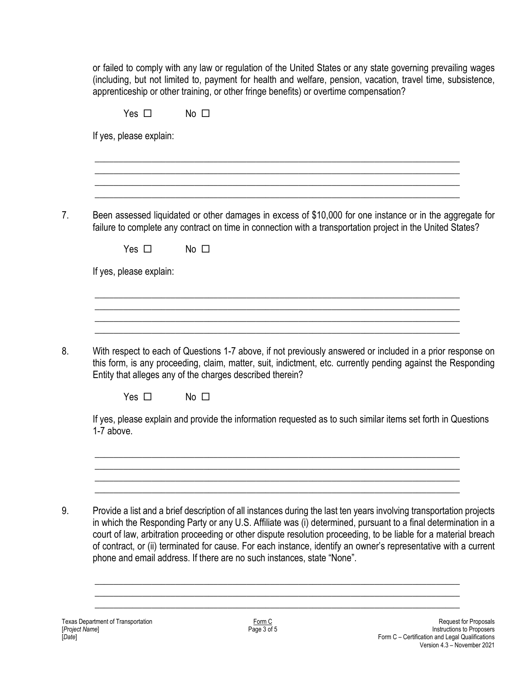or failed to comply with any law or regulation of the United States or any state governing prevailing wages (including, but not limited to, payment for health and welfare, pension, vacation, travel time, subsistence, apprenticeship or other training, or other fringe benefits) or overtime compensation?

 $Yes \Box$  No  $\Box$ 

If yes, please explain:

7. Been assessed liquidated or other damages in excess of \$10,000 for one instance or in the aggregate for failure to complete any contract on time in connection with a transportation project in the United States?

 \_\_\_\_\_\_\_\_\_\_\_\_\_\_\_\_\_\_\_\_\_\_\_\_\_\_\_\_\_\_\_\_\_\_\_\_\_\_\_\_\_\_\_\_\_\_\_\_\_\_\_\_\_\_\_\_\_\_\_\_\_\_\_\_\_\_\_\_\_\_\_\_\_\_\_\_\_ \_\_\_\_\_\_\_\_\_\_\_\_\_\_\_\_\_\_\_\_\_\_\_\_\_\_\_\_\_\_\_\_\_\_\_\_\_\_\_\_\_\_\_\_\_\_\_\_\_\_\_\_\_\_\_\_\_\_\_\_\_\_\_\_\_\_\_\_\_\_\_\_\_\_\_\_\_ \_\_\_\_\_\_\_\_\_\_\_\_\_\_\_\_\_\_\_\_\_\_\_\_\_\_\_\_\_\_\_\_\_\_\_\_\_\_\_\_\_\_\_\_\_\_\_\_\_\_\_\_\_\_\_\_\_\_\_\_\_\_\_\_\_\_\_\_\_\_\_\_\_\_\_\_\_ \_\_\_\_\_\_\_\_\_\_\_\_\_\_\_\_\_\_\_\_\_\_\_\_\_\_\_\_\_\_\_\_\_\_\_\_\_\_\_\_\_\_\_\_\_\_\_\_\_\_\_\_\_\_\_\_\_\_\_\_\_\_\_\_\_\_\_\_\_\_\_\_\_\_\_\_\_

 $Yes \Box$  No  $\Box$ If yes, please explain: \_\_\_\_\_\_\_\_\_\_\_\_\_\_\_\_\_\_\_\_\_\_\_\_\_\_\_\_\_\_\_\_\_\_\_\_\_\_\_\_\_\_\_\_\_\_\_\_\_\_\_\_\_\_\_\_\_\_\_\_\_\_\_\_\_\_\_\_\_\_\_\_\_\_\_\_\_ \_\_\_\_\_\_\_\_\_\_\_\_\_\_\_\_\_\_\_\_\_\_\_\_\_\_\_\_\_\_\_\_\_\_\_\_\_\_\_\_\_\_\_\_\_\_\_\_\_\_\_\_\_\_\_\_\_\_\_\_\_\_\_\_\_\_\_\_\_\_\_\_\_\_\_\_\_ \_\_\_\_\_\_\_\_\_\_\_\_\_\_\_\_\_\_\_\_\_\_\_\_\_\_\_\_\_\_\_\_\_\_\_\_\_\_\_\_\_\_\_\_\_\_\_\_\_\_\_\_\_\_\_\_\_\_\_\_\_\_\_\_\_\_\_\_\_\_\_\_\_\_\_\_\_

8. With respect to each of Questions 1-7 above, if not previously answered or included in a prior response on this form, is any proceeding, claim, matter, suit, indictment, etc. currently pending against the Responding Entity that alleges any of the charges described therein?

Yes  $\square$  No  $\square$ 

If yes, please explain and provide the information requested as to such similar items set forth in Questions 1-7 above.

9. Provide a list and a brief description of all instances during the last ten years involving transportation projects in which the Responding Party or any U.S. Affiliate was (i) determined, pursuant to a final determination in a court of law, arbitration proceeding or other dispute resolution proceeding, to be liable for a material breach of contract, or (ii) terminated for cause. For each instance, identify an owner's representative with a current phone and email address. If there are no such instances, state "None".

 \_\_\_\_\_\_\_\_\_\_\_\_\_\_\_\_\_\_\_\_\_\_\_\_\_\_\_\_\_\_\_\_\_\_\_\_\_\_\_\_\_\_\_\_\_\_\_\_\_\_\_\_\_\_\_\_\_\_\_\_\_\_\_\_\_\_\_\_\_\_\_\_\_\_\_\_\_ \_\_\_\_\_\_\_\_\_\_\_\_\_\_\_\_\_\_\_\_\_\_\_\_\_\_\_\_\_\_\_\_\_\_\_\_\_\_\_\_\_\_\_\_\_\_\_\_\_\_\_\_\_\_\_\_\_\_\_\_\_\_\_\_\_\_\_\_\_\_\_\_\_\_\_\_\_ \_\_\_\_\_\_\_\_\_\_\_\_\_\_\_\_\_\_\_\_\_\_\_\_\_\_\_\_\_\_\_\_\_\_\_\_\_\_\_\_\_\_\_\_\_\_\_\_\_\_\_\_\_\_\_\_\_\_\_\_\_\_\_\_\_\_\_\_\_\_\_\_\_\_\_\_\_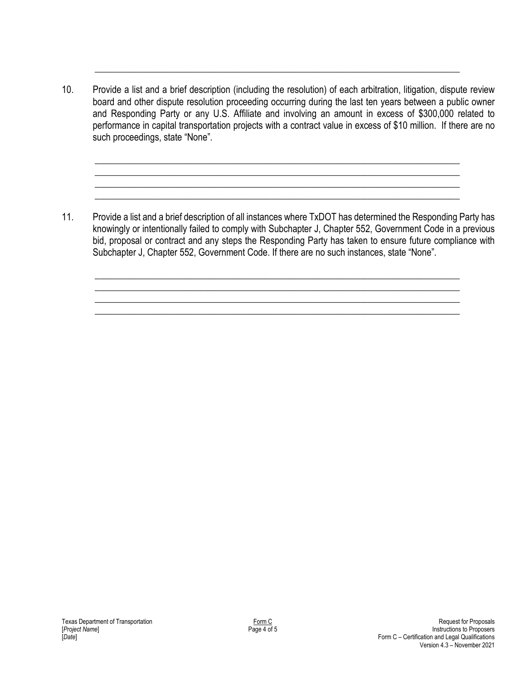10. Provide a list and a brief description (including the resolution) of each arbitration, litigation, dispute review board and other dispute resolution proceeding occurring during the last ten years between a public owner and Responding Party or any U.S. Affiliate and involving an amount in excess of \$300,000 related to performance in capital transportation projects with a contract value in excess of \$10 million. If there are no such proceedings, state "None".

 \_\_\_\_\_\_\_\_\_\_\_\_\_\_\_\_\_\_\_\_\_\_\_\_\_\_\_\_\_\_\_\_\_\_\_\_\_\_\_\_\_\_\_\_\_\_\_\_\_\_\_\_\_\_\_\_\_\_\_\_\_\_\_\_\_\_\_\_\_\_\_\_\_\_\_\_\_ \_\_\_\_\_\_\_\_\_\_\_\_\_\_\_\_\_\_\_\_\_\_\_\_\_\_\_\_\_\_\_\_\_\_\_\_\_\_\_\_\_\_\_\_\_\_\_\_\_\_\_\_\_\_\_\_\_\_\_\_\_\_\_\_\_\_\_\_\_\_\_\_\_\_\_\_\_ \_\_\_\_\_\_\_\_\_\_\_\_\_\_\_\_\_\_\_\_\_\_\_\_\_\_\_\_\_\_\_\_\_\_\_\_\_\_\_\_\_\_\_\_\_\_\_\_\_\_\_\_\_\_\_\_\_\_\_\_\_\_\_\_\_\_\_\_\_\_\_\_\_\_\_\_\_ \_\_\_\_\_\_\_\_\_\_\_\_\_\_\_\_\_\_\_\_\_\_\_\_\_\_\_\_\_\_\_\_\_\_\_\_\_\_\_\_\_\_\_\_\_\_\_\_\_\_\_\_\_\_\_\_\_\_\_\_\_\_\_\_\_\_\_\_\_\_\_\_\_\_\_\_\_

\_\_\_\_\_\_\_\_\_\_\_\_\_\_\_\_\_\_\_\_\_\_\_\_\_\_\_\_\_\_\_\_\_\_\_\_\_\_\_\_\_\_\_\_\_\_\_\_\_\_\_\_\_\_\_\_\_\_\_\_\_\_\_\_\_\_\_\_\_\_\_\_\_\_\_\_\_

11. Provide a list and a brief description of all instances where TxDOT has determined the Responding Party has knowingly or intentionally failed to comply with Subchapter J, Chapter 552, Government Code in a previous bid, proposal or contract and any steps the Responding Party has taken to ensure future compliance with Subchapter J, Chapter 552, Government Code. If there are no such instances, state "None".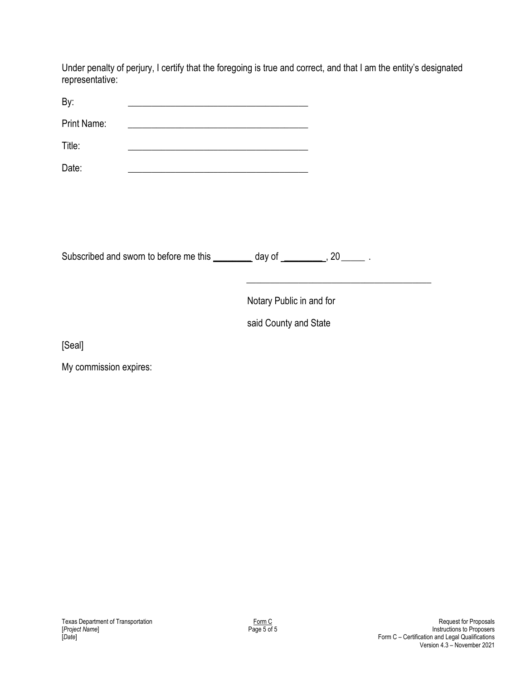| representative:        |                                                                                                                      |                          | Under penalty of perjury, I certify that the foregoing is true and correct, and that I am the entity's designated    |
|------------------------|----------------------------------------------------------------------------------------------------------------------|--------------------------|----------------------------------------------------------------------------------------------------------------------|
| By:                    | <u> 1989 - Johann Barbara, martxa alemaniar arg</u>                                                                  |                          |                                                                                                                      |
| Print Name:            | <u> 1989 - Johann Barbara, martxa alemaniar arg</u>                                                                  |                          |                                                                                                                      |
| Title:                 | <u> 1989 - Johann John Stone, mars et al. (b. 1989)</u>                                                              |                          |                                                                                                                      |
| Date:                  | <u> 1989 - Jan James James Jan James James James James James James James James James James James James James Jam</u> |                          |                                                                                                                      |
|                        | Subscribed and sworn to before me this ___________ day of ____________, 20 ________.                                 |                          | <u> 2008 - Jan James James Jan James James James James James James James James James James James James James Jam</u> |
|                        |                                                                                                                      | Notary Public in and for |                                                                                                                      |
|                        |                                                                                                                      | said County and State    |                                                                                                                      |
| [Seal]                 |                                                                                                                      |                          |                                                                                                                      |
| My commission expires: |                                                                                                                      |                          |                                                                                                                      |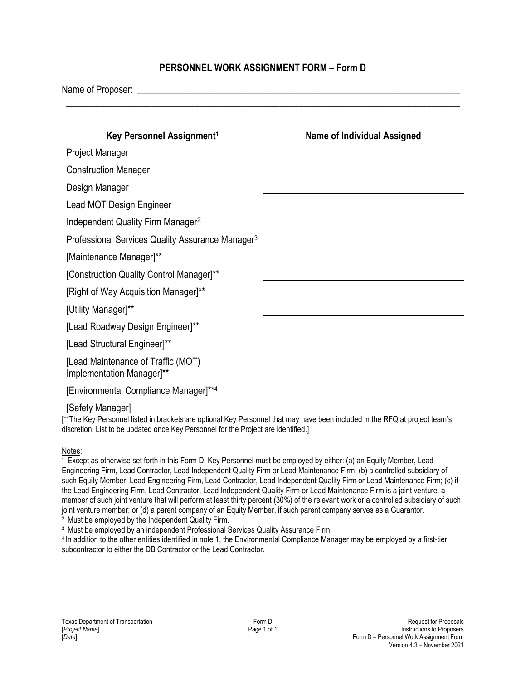### **PERSONNEL WORK ASSIGNMENT FORM – Form D**

\_\_\_\_\_\_\_\_\_\_\_\_\_\_\_\_\_\_\_\_\_\_\_\_\_\_\_\_\_\_\_\_\_\_\_\_\_\_\_\_\_\_\_\_\_\_\_\_\_\_\_\_\_\_\_\_\_\_\_\_\_\_\_\_\_\_\_\_\_\_\_\_\_\_\_\_\_\_\_\_\_\_\_

Name of Proposer:

| Key Personnel Assignment <sup>1</sup>                           | <b>Name of Individual Assigned</b> |
|-----------------------------------------------------------------|------------------------------------|
| <b>Project Manager</b>                                          |                                    |
| <b>Construction Manager</b>                                     |                                    |
| Design Manager                                                  |                                    |
| Lead MOT Design Engineer                                        |                                    |
| Independent Quality Firm Manager <sup>2</sup>                   |                                    |
| Professional Services Quality Assurance Manager <sup>3</sup>    |                                    |
| [Maintenance Manager]**                                         |                                    |
| [Construction Quality Control Manager]**                        |                                    |
| [Right of Way Acquisition Manager]**                            |                                    |
| [Utility Manager]**                                             |                                    |
| [Lead Roadway Design Engineer]**                                |                                    |
| [Lead Structural Engineer]**                                    |                                    |
| [Lead Maintenance of Traffic (MOT)<br>Implementation Manager]** |                                    |
| [Environmental Compliance Manager]**4                           |                                    |
| [Safety Manager]                                                |                                    |

[\*\*The Key Personnel listed in brackets are optional Key Personnel that may have been included in the RFQ at project team's discretion. List to be updated once Key Personnel for the Project are identified.]

Notes:

1. Except as otherwise set forth in this Form D, Key Personnel must be employed by either: (a) an Equity Member, Lead Engineering Firm, Lead Contractor, Lead Independent Quality Firm or Lead Maintenance Firm; (b) a controlled subsidiary of such Equity Member, Lead Engineering Firm, Lead Contractor, Lead Independent Quality Firm or Lead Maintenance Firm; (c) if the Lead Engineering Firm, Lead Contractor, Lead Independent Quality Firm or Lead Maintenance Firm is a joint venture, a member of such joint venture that will perform at least thirty percent (30%) of the relevant work or a controlled subsidiary of such joint venture member; or (d) a parent company of an Equity Member, if such parent company serves as a Guarantor. 2. Must be employed by the Independent Quality Firm.

3. Must be employed by an independent Professional Services Quality Assurance Firm.

<sup>4</sup>In addition to the other entities identified in note 1, the Environmental Compliance Manager may be employed by a first-tier subcontractor to either the DB Contractor or the Lead Contractor.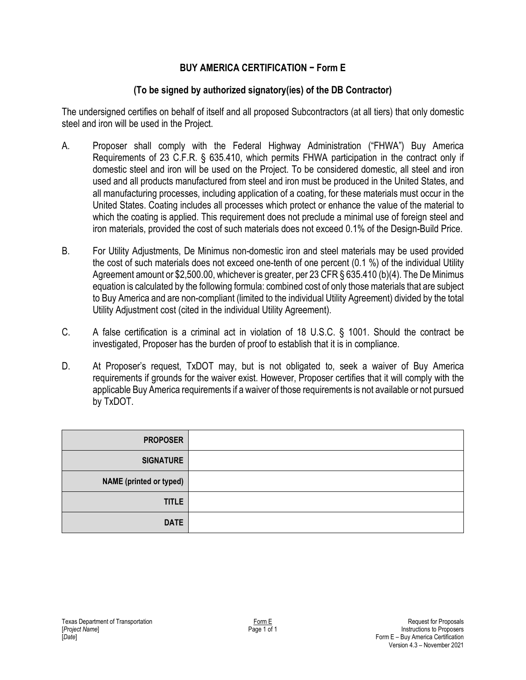### **BUY AMERICA CERTIFICATION − Form E**

### **(To be signed by authorized signatory(ies) of the DB Contractor)**

The undersigned certifies on behalf of itself and all proposed Subcontractors (at all tiers) that only domestic steel and iron will be used in the Project.

- A. Proposer shall comply with the Federal Highway Administration ("FHWA") Buy America Requirements of 23 C.F.R. § 635.410, which permits FHWA participation in the contract only if domestic steel and iron will be used on the Project. To be considered domestic, all steel and iron used and all products manufactured from steel and iron must be produced in the United States, and all manufacturing processes, including application of a coating, for these materials must occur in the United States. Coating includes all processes which protect or enhance the value of the material to which the coating is applied. This requirement does not preclude a minimal use of foreign steel and iron materials, provided the cost of such materials does not exceed 0.1% of the Design-Build Price.
- B. For Utility Adjustments, De Minimus non-domestic iron and steel materials may be used provided the cost of such materials does not exceed one-tenth of one percent (0.1 %) of the individual Utility Agreement amount or \$2,500.00, whichever is greater, per 23 CFR § 635.410 (b)(4). The De Minimus equation is calculated by the following formula: combined cost of only those materials that are subject to Buy America and are non-compliant (limited to the individual Utility Agreement) divided by the total Utility Adjustment cost (cited in the individual Utility Agreement).
- C. A false certification is a criminal act in violation of 18 U.S.C. § 1001. Should the contract be investigated, Proposer has the burden of proof to establish that it is in compliance.
- D. At Proposer's request, TxDOT may, but is not obligated to, seek a waiver of Buy America requirements if grounds for the waiver exist. However, Proposer certifies that it will comply with the applicable Buy America requirements if a waiver of those requirements is not available or not pursued by TxDOT.

| <b>PROPOSER</b>         |  |
|-------------------------|--|
| <b>SIGNATURE</b>        |  |
| NAME (printed or typed) |  |
| <b>TITLE</b>            |  |
| <b>DATE</b>             |  |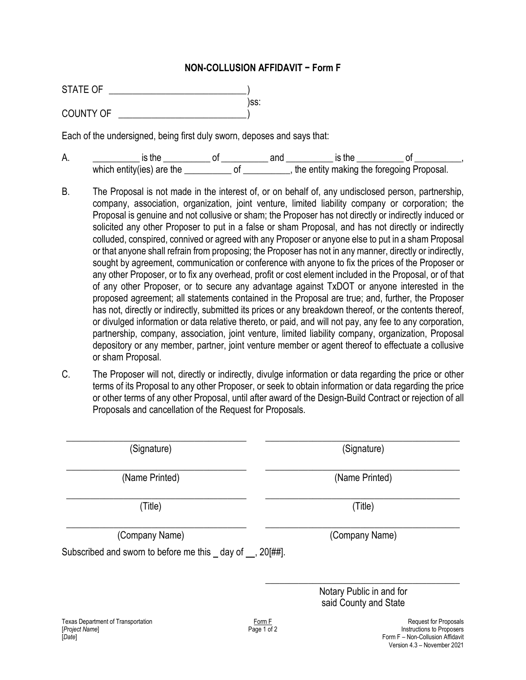#### **NON-COLLUSION AFFIDAVIT − Form F**

| STATE OF         |      |
|------------------|------|
|                  | )SS: |
| <b>COUNTY OF</b> |      |

Each of the undersigned, being first duly sworn, deposes and says that:

| the                       | and |                                           |  |
|---------------------------|-----|-------------------------------------------|--|
| which entity(ies) are the |     | the entity making the foregoing Proposal. |  |

- B. The Proposal is not made in the interest of, or on behalf of, any undisclosed person, partnership, company, association, organization, joint venture, limited liability company or corporation; the Proposal is genuine and not collusive or sham; the Proposer has not directly or indirectly induced or solicited any other Proposer to put in a false or sham Proposal, and has not directly or indirectly colluded, conspired, connived or agreed with any Proposer or anyone else to put in a sham Proposal or that anyone shall refrain from proposing; the Proposer has not in any manner, directly or indirectly, sought by agreement, communication or conference with anyone to fix the prices of the Proposer or any other Proposer, or to fix any overhead, profit or cost element included in the Proposal, or of that of any other Proposer, or to secure any advantage against TxDOT or anyone interested in the proposed agreement; all statements contained in the Proposal are true; and, further, the Proposer has not, directly or indirectly, submitted its prices or any breakdown thereof, or the contents thereof, or divulged information or data relative thereto, or paid, and will not pay, any fee to any corporation, partnership, company, association, joint venture, limited liability company, organization, Proposal depository or any member, partner, joint venture member or agent thereof to effectuate a collusive or sham Proposal.
- C. The Proposer will not, directly or indirectly, divulge information or data regarding the price or other terms of its Proposal to any other Proposer, or seek to obtain information or data regarding the price or other terms of any other Proposal, until after award of the Design-Build Contract or rejection of all Proposals and cancellation of the Request for Proposals.

| (Signature)                                                 | (Signature)                                       |
|-------------------------------------------------------------|---------------------------------------------------|
| (Name Printed)                                              | (Name Printed)                                    |
| (Title)                                                     | (Title)                                           |
| (Company Name)                                              | (Company Name)                                    |
| Subscribed and sworn to before me this _ day of __, 20[##]. |                                                   |
|                                                             |                                                   |
|                                                             | Notary Public in and for<br>said County and State |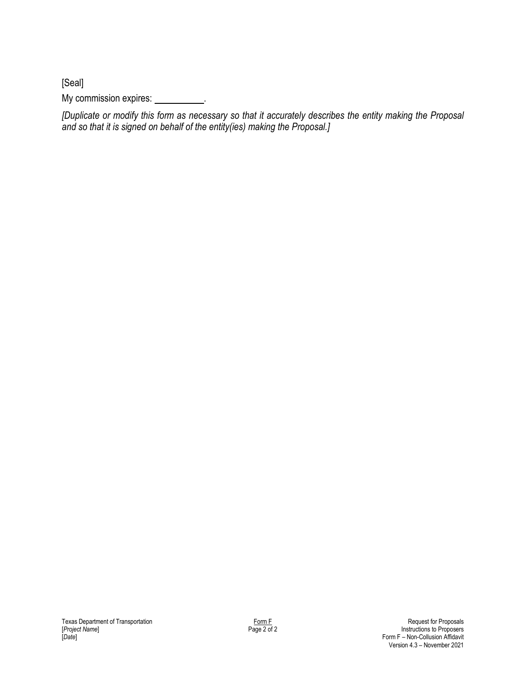[Seal] My commission expires: \_\_\_\_\_\_\_\_\_\_.

*[Duplicate or modify this form as necessary so that it accurately describes the entity making the Proposal and so that it is signed on behalf of the entity(ies) making the Proposal.]*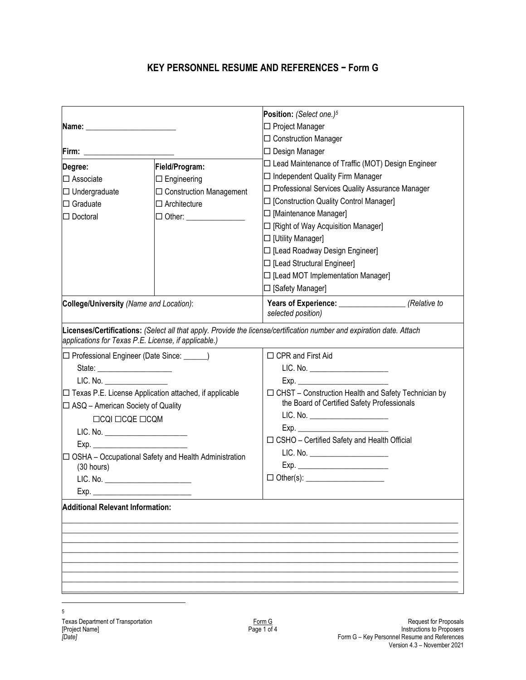# **KEY PERSONNEL RESUME AND REFERENCES − Form G**

|                                                                                                                                                                                                                                |                                                             | Position: (Select one.) <sup>5</sup>                                                                                  |              |  |  |
|--------------------------------------------------------------------------------------------------------------------------------------------------------------------------------------------------------------------------------|-------------------------------------------------------------|-----------------------------------------------------------------------------------------------------------------------|--------------|--|--|
| Name: _________________________                                                                                                                                                                                                |                                                             | □ Project Manager                                                                                                     |              |  |  |
|                                                                                                                                                                                                                                |                                                             | □ Construction Manager                                                                                                |              |  |  |
| Firm: $\_\_$                                                                                                                                                                                                                   |                                                             | □ Design Manager                                                                                                      |              |  |  |
| Degree:                                                                                                                                                                                                                        | Field/Program:                                              | □ Lead Maintenance of Traffic (MOT) Design Engineer                                                                   |              |  |  |
| $\Box$ Associate                                                                                                                                                                                                               | $\Box$ Engineering                                          | □ Independent Quality Firm Manager                                                                                    |              |  |  |
| $\Box$ Undergraduate                                                                                                                                                                                                           | □ Construction Management                                   | □ Professional Services Quality Assurance Manager                                                                     |              |  |  |
| $\Box$ Graduate                                                                                                                                                                                                                | $\Box$ Architecture                                         | □ [Construction Quality Control Manager]                                                                              |              |  |  |
| $\Box$ Doctoral                                                                                                                                                                                                                |                                                             | □ [Maintenance Manager]                                                                                               |              |  |  |
|                                                                                                                                                                                                                                |                                                             | □ [Right of Way Acquisition Manager]                                                                                  |              |  |  |
|                                                                                                                                                                                                                                |                                                             | $\Box$ [Utility Manager]                                                                                              |              |  |  |
|                                                                                                                                                                                                                                |                                                             | □ [Lead Roadway Design Engineer]                                                                                      |              |  |  |
|                                                                                                                                                                                                                                |                                                             | □ [Lead Structural Engineer]                                                                                          |              |  |  |
|                                                                                                                                                                                                                                |                                                             | □ [Lead MOT Implementation Manager]                                                                                   |              |  |  |
|                                                                                                                                                                                                                                |                                                             | □ [Safety Manager]                                                                                                    |              |  |  |
| College/University (Name and Location):                                                                                                                                                                                        |                                                             | selected position)                                                                                                    | (Relative to |  |  |
| applications for Texas P.E. License, if applicable.)                                                                                                                                                                           |                                                             | Licenses/Certifications: (Select all that apply. Provide the license/certification number and expiration date. Attach |              |  |  |
| □ Professional Engineer (Date Since: ______)                                                                                                                                                                                   |                                                             | $\Box$ CPR and First Aid                                                                                              |              |  |  |
|                                                                                                                                                                                                                                |                                                             | LIC. No. _______________________                                                                                      |              |  |  |
| LIC. No.                                                                                                                                                                                                                       |                                                             |                                                                                                                       |              |  |  |
| □ Texas P.E. License Application attached, if applicable                                                                                                                                                                       |                                                             | □ CHST - Construction Health and Safety Technician by                                                                 |              |  |  |
| $\Box$ ASQ - American Society of Quality                                                                                                                                                                                       |                                                             | the Board of Certified Safety Professionals                                                                           |              |  |  |
| $\Box$ CQI $\Box$ CQE $\Box$ CQM                                                                                                                                                                                               |                                                             | LIC. No. _______________________                                                                                      |              |  |  |
|                                                                                                                                                                                                                                |                                                             | Exp.                                                                                                                  |              |  |  |
|                                                                                                                                                                                                                                |                                                             | □ CSHO - Certified Safety and Health Official                                                                         |              |  |  |
|                                                                                                                                                                                                                                | $\Box$ OSHA – Occupational Safety and Health Administration | LIC. No. ______________________                                                                                       |              |  |  |
| (30 hours)                                                                                                                                                                                                                     |                                                             |                                                                                                                       |              |  |  |
| LIC. No. 2008 CONTENTS AND THE CONTENTS OF THE CONTENTS OF THE CONTENTS OF THE CONTENTS OF THE CONTENTS OF THE CONTENTS OF THE CONTENTS OF THE CONTENTS OF THE CONTENTS OF THE CONTENTS OF THE CONTENTS OF THE CONTENTS OF THE |                                                             |                                                                                                                       |              |  |  |
| EXp. _                                                                                                                                                                                                                         |                                                             |                                                                                                                       |              |  |  |
| <b>Additional Relevant Information:</b>                                                                                                                                                                                        |                                                             |                                                                                                                       |              |  |  |
|                                                                                                                                                                                                                                |                                                             |                                                                                                                       |              |  |  |
|                                                                                                                                                                                                                                |                                                             |                                                                                                                       |              |  |  |
|                                                                                                                                                                                                                                |                                                             |                                                                                                                       |              |  |  |
|                                                                                                                                                                                                                                |                                                             |                                                                                                                       |              |  |  |
|                                                                                                                                                                                                                                |                                                             |                                                                                                                       |              |  |  |
|                                                                                                                                                                                                                                |                                                             |                                                                                                                       |              |  |  |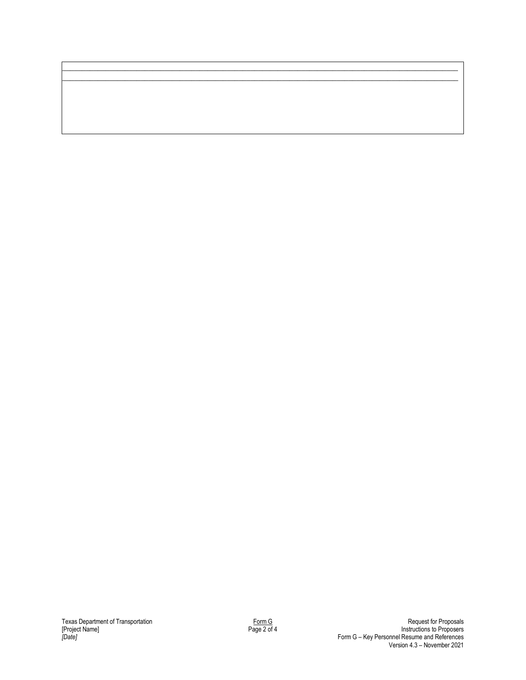

\_\_\_\_\_\_\_\_\_\_\_\_\_\_\_\_\_\_\_\_\_\_\_\_\_\_\_\_\_\_\_\_\_\_\_\_\_\_\_\_\_\_\_\_\_\_\_\_\_\_\_\_\_\_\_\_\_\_\_\_\_\_\_\_\_\_\_\_\_\_\_\_\_\_\_\_\_\_\_\_\_\_\_\_\_\_\_\_\_\_\_\_\_\_\_\_\_\_\_\_\_ \_\_\_\_\_\_\_\_\_\_\_\_\_\_\_\_\_\_\_\_\_\_\_\_\_\_\_\_\_\_\_\_\_\_\_\_\_\_\_\_\_\_\_\_\_\_\_\_\_\_\_\_\_\_\_\_\_\_\_\_\_\_\_\_\_\_\_\_\_\_\_\_\_\_\_\_\_\_\_\_\_\_\_\_\_\_\_\_\_\_\_\_\_\_\_\_\_\_\_\_\_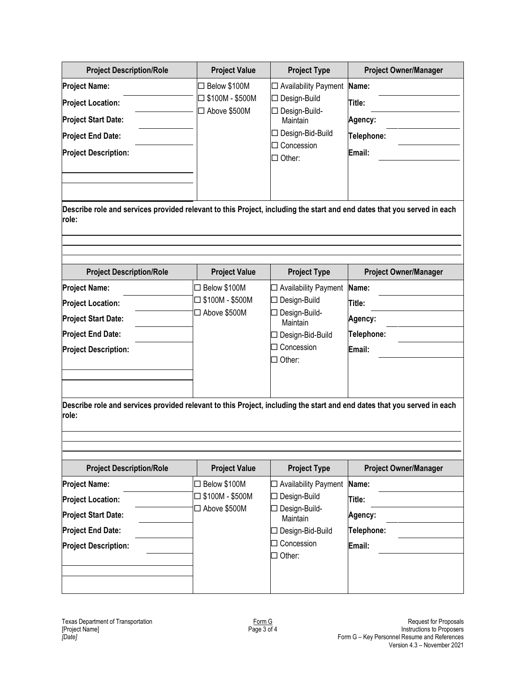| <b>Project Description/Role</b>                                                                                                  | <b>Project Value</b>   | <b>Project Type</b>       | <b>Project Owner/Manager</b> |
|----------------------------------------------------------------------------------------------------------------------------------|------------------------|---------------------------|------------------------------|
| <b>Project Name:</b>                                                                                                             | □ Below \$100M         | □ Availability Payment    | Name:                        |
| <b>Project Location:</b>                                                                                                         | $\Box$ \$100M - \$500M | Design-Build<br>□         | Title:                       |
| <b>Project Start Date:</b>                                                                                                       | □ Above \$500M         | Design-Build-<br>Maintain | Agency:                      |
| <b>Project End Date:</b>                                                                                                         |                        | □ Design-Bid-Build        | Telephone:                   |
| <b>Project Description:</b>                                                                                                      |                        | □ Concession              | Email:                       |
|                                                                                                                                  |                        | $\Box$ Other:             |                              |
|                                                                                                                                  |                        |                           |                              |
|                                                                                                                                  |                        |                           |                              |
| Describe role and services provided relevant to this Project, including the start and end dates that you served in each<br>role: |                        |                           |                              |
| <b>Project Description/Role</b>                                                                                                  | <b>Project Value</b>   | <b>Project Type</b>       | <b>Project Owner/Manager</b> |
| <b>Project Name:</b>                                                                                                             | □ Below \$100M         | □ Availability Payment    | Name:                        |
| <b>Project Location:</b>                                                                                                         | $\Box$ \$100M - \$500M | □ Design-Build            | Title:                       |
| <b>Project Start Date:</b>                                                                                                       | □ Above \$500M         | Design-Build-<br>Maintain | Agency:                      |
| Project End Date:                                                                                                                |                        | □ Design-Bid-Build        | Telephone:                   |
| <b>Project Description:</b>                                                                                                      |                        | □ Concession              | Email:                       |
|                                                                                                                                  |                        | $\Box$ Other:             |                              |
|                                                                                                                                  |                        |                           |                              |
| Describe role and services provided relevant to this Project, including the start and end dates that you served in each<br>role: |                        |                           |                              |
| <b>Project Description/Role</b>                                                                                                  | <b>Project Value</b>   | <b>Project Type</b>       | <b>Project Owner/Manager</b> |
| <b>Project Name:</b>                                                                                                             | □ Below \$100M         | □ Availability Payment    | Name:                        |
| <b>Project Location:</b>                                                                                                         | $\Box$ \$100M - \$500M | Design-Build              | Title:                       |
| <b>Project Start Date:</b>                                                                                                       | □ Above \$500M         | Design-Build-<br>Maintain | Agency:                      |
| <b>Project End Date:</b>                                                                                                         |                        | Design-Bid-Build          | Telephone:                   |
| <b>Project Description:</b>                                                                                                      |                        | Concession                | Email:                       |
|                                                                                                                                  |                        | $\Box$ Other:             |                              |
|                                                                                                                                  |                        |                           |                              |
|                                                                                                                                  |                        |                           |                              |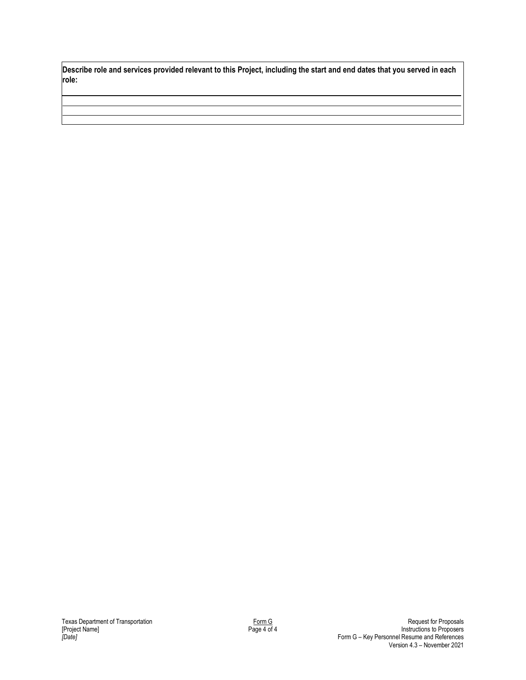**Describe role and services provided relevant to this Project, including the start and end dates that you served in each role:**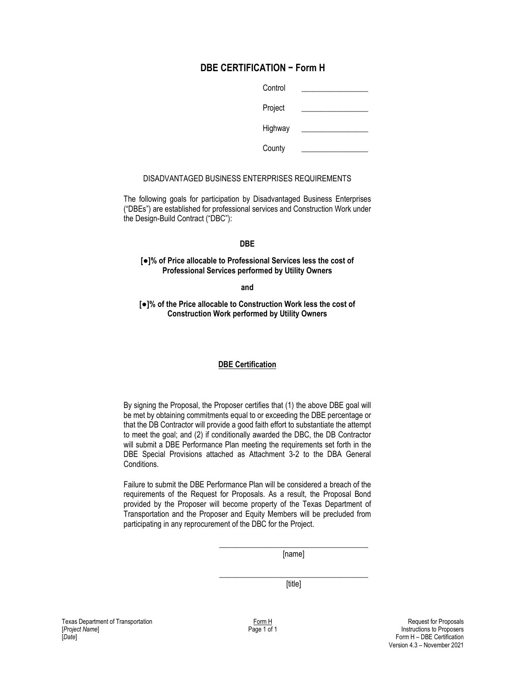#### **DBE CERTIFICATION − Form H**

| Control |  |
|---------|--|
| Project |  |
| Highway |  |
| County  |  |

#### DISADVANTAGED BUSINESS ENTERPRISES REQUIREMENTS

The following goals for participation by Disadvantaged Business Enterprises ("DBEs") are established for professional services and Construction Work under the Design-Build Contract ("DBC"):

#### **DBE**

#### **[●]% of Price allocable to Professional Services less the cost of Professional Services performed by Utility Owners**

**and** 

**[●]% of the Price allocable to Construction Work less the cost of Construction Work performed by Utility Owners** 

#### **DBE Certification**

By signing the Proposal, the Proposer certifies that (1) the above DBE goal will be met by obtaining commitments equal to or exceeding the DBE percentage or that the DB Contractor will provide a good faith effort to substantiate the attempt to meet the goal; and (2) if conditionally awarded the DBC, the DB Contractor will submit a DBE Performance Plan meeting the requirements set forth in the DBE Special Provisions attached as Attachment 3-2 to the DBA General Conditions.

Failure to submit the DBE Performance Plan will be considered a breach of the requirements of the Request for Proposals. As a result, the Proposal Bond provided by the Proposer will become property of the Texas Department of Transportation and the Proposer and Equity Members will be precluded from participating in any reprocurement of the DBC for the Project.

> \_\_\_\_\_\_\_\_\_\_\_\_\_\_\_\_\_\_\_\_\_\_\_\_\_\_\_\_\_\_\_\_\_\_\_\_\_\_ [name]

> \_\_\_\_\_\_\_\_\_\_\_\_\_\_\_\_\_\_\_\_\_\_\_\_\_\_\_\_\_\_\_\_\_\_\_\_\_\_ [title]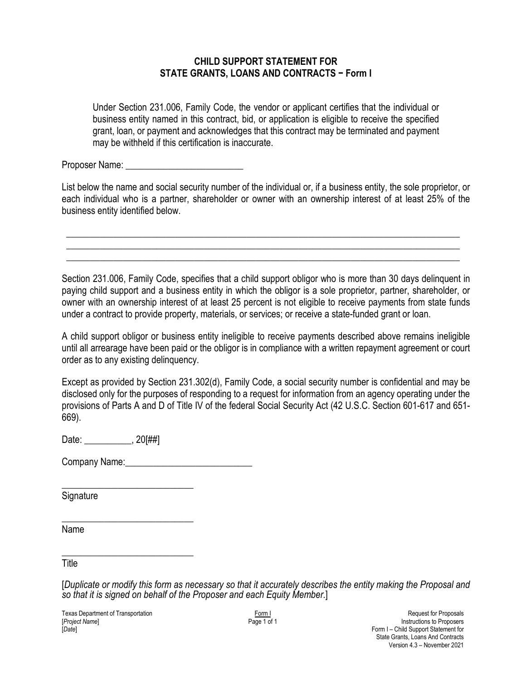### **CHILD SUPPORT STATEMENT FOR STATE GRANTS, LOANS AND CONTRACTS − Form I**

Under Section 231.006, Family Code, the vendor or applicant certifies that the individual or business entity named in this contract, bid, or application is eligible to receive the specified grant, loan, or payment and acknowledges that this contract may be terminated and payment may be withheld if this certification is inaccurate.

Proposer Name: \_\_\_\_\_\_\_\_\_\_\_\_\_\_\_\_\_\_\_\_\_\_\_\_\_

List below the name and social security number of the individual or, if a business entity, the sole proprietor, or each individual who is a partner, shareholder or owner with an ownership interest of at least 25% of the business entity identified below.

 \_\_\_\_\_\_\_\_\_\_\_\_\_\_\_\_\_\_\_\_\_\_\_\_\_\_\_\_\_\_\_\_\_\_\_\_\_\_\_\_\_\_\_\_\_\_\_\_\_\_\_\_\_\_\_\_\_\_\_\_\_\_\_\_\_\_\_\_\_\_\_\_\_\_\_\_\_\_\_\_\_\_\_ \_\_\_\_\_\_\_\_\_\_\_\_\_\_\_\_\_\_\_\_\_\_\_\_\_\_\_\_\_\_\_\_\_\_\_\_\_\_\_\_\_\_\_\_\_\_\_\_\_\_\_\_\_\_\_\_\_\_\_\_\_\_\_\_\_\_\_\_\_\_\_\_\_\_\_\_\_\_\_\_\_\_\_ \_\_\_\_\_\_\_\_\_\_\_\_\_\_\_\_\_\_\_\_\_\_\_\_\_\_\_\_\_\_\_\_\_\_\_\_\_\_\_\_\_\_\_\_\_\_\_\_\_\_\_\_\_\_\_\_\_\_\_\_\_\_\_\_\_\_\_\_\_\_\_\_\_\_\_\_\_\_\_\_\_\_\_

Section 231.006, Family Code, specifies that a child support obligor who is more than 30 days delinquent in paying child support and a business entity in which the obligor is a sole proprietor, partner, shareholder, or owner with an ownership interest of at least 25 percent is not eligible to receive payments from state funds under a contract to provide property, materials, or services; or receive a state-funded grant or loan.

A child support obligor or business entity ineligible to receive payments described above remains ineligible until all arrearage have been paid or the obligor is in compliance with a written repayment agreement or court order as to any existing delinquency.

Except as provided by Section 231.302(d), Family Code, a social security number is confidential and may be disclosed only for the purposes of responding to a request for information from an agency operating under the provisions of Parts A and D of Title IV of the federal Social Security Act (42 U.S.C. Section 601-617 and 651- 669).

Date: , 20[##]

\_\_\_\_\_\_\_\_\_\_\_\_\_\_\_\_\_\_\_\_\_\_\_\_\_\_\_\_

\_\_\_\_\_\_\_\_\_\_\_\_\_\_\_\_\_\_\_\_\_\_\_\_\_\_\_\_

Company Name:

**Signature** 

Name

 $\overline{\phantom{a}}$  , where  $\overline{\phantom{a}}$  , where  $\overline{\phantom{a}}$  ,  $\overline{\phantom{a}}$  ,  $\overline{\phantom{a}}$  ,  $\overline{\phantom{a}}$  ,  $\overline{\phantom{a}}$  ,  $\overline{\phantom{a}}$  ,  $\overline{\phantom{a}}$  ,  $\overline{\phantom{a}}$  ,  $\overline{\phantom{a}}$  ,  $\overline{\phantom{a}}$  ,  $\overline{\phantom{a}}$  ,  $\overline{\phantom{a}}$  ,  $\overline{\phantom{a}}$  , Title

[*Duplicate or modify this form as necessary so that it accurately describes the entity making the Proposal and so that it is signed on behalf of the Proposer and each Equity Member.*]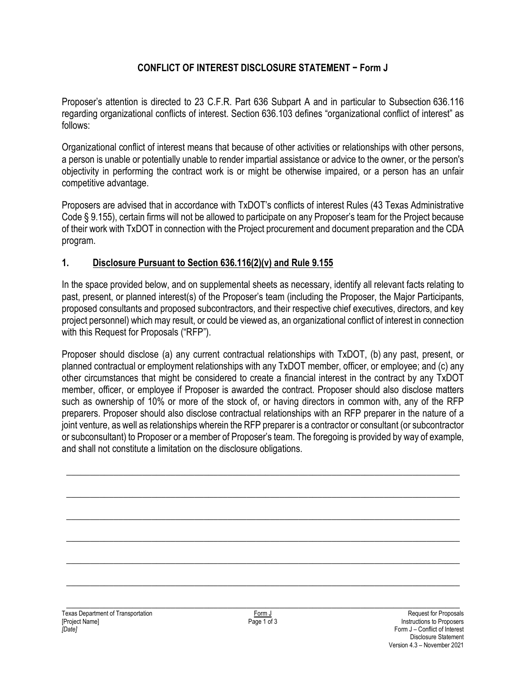### **CONFLICT OF INTEREST DISCLOSURE STATEMENT − Form J**

Proposer's attention is directed to 23 C.F.R. Part 636 Subpart A and in particular to Subsection 636.116 regarding organizational conflicts of interest. Section 636.103 defines "organizational conflict of interest" as follows:

Organizational conflict of interest means that because of other activities or relationships with other persons, a person is unable or potentially unable to render impartial assistance or advice to the owner, or the person's objectivity in performing the contract work is or might be otherwise impaired, or a person has an unfair competitive advantage.

Proposers are advised that in accordance with TxDOT's conflicts of interest Rules (43 Texas Administrative Code § 9.155), certain firms will not be allowed to participate on any Proposer's team for the Project because of their work with TxDOT in connection with the Project procurement and document preparation and the CDA program.

### **1. Disclosure Pursuant to Section 636.116(2)(v) and Rule 9.155**

In the space provided below, and on supplemental sheets as necessary, identify all relevant facts relating to past, present, or planned interest(s) of the Proposer's team (including the Proposer, the Major Participants, proposed consultants and proposed subcontractors, and their respective chief executives, directors, and key project personnel) which may result, or could be viewed as, an organizational conflict of interest in connection with this Request for Proposals ("RFP").

Proposer should disclose (a) any current contractual relationships with TxDOT, (b) any past, present, or planned contractual or employment relationships with any TxDOT member, officer, or employee; and (c) any other circumstances that might be considered to create a financial interest in the contract by any TxDOT member, officer, or employee if Proposer is awarded the contract. Proposer should also disclose matters such as ownership of 10% or more of the stock of, or having directors in common with, any of the RFP preparers. Proposer should also disclose contractual relationships with an RFP preparer in the nature of a joint venture, as well as relationships wherein the RFP preparer is a contractor or consultant (or subcontractor or subconsultant) to Proposer or a member of Proposer's team. The foregoing is provided by way of example, and shall not constitute a limitation on the disclosure obligations.

\_\_\_\_\_\_\_\_\_\_\_\_\_\_\_\_\_\_\_\_\_\_\_\_\_\_\_\_\_\_\_\_\_\_\_\_\_\_\_\_\_\_\_\_\_\_\_\_\_\_\_\_\_\_\_\_\_\_\_\_\_\_\_\_\_\_\_\_\_\_\_\_\_\_\_\_\_\_\_\_\_\_\_

\_\_\_\_\_\_\_\_\_\_\_\_\_\_\_\_\_\_\_\_\_\_\_\_\_\_\_\_\_\_\_\_\_\_\_\_\_\_\_\_\_\_\_\_\_\_\_\_\_\_\_\_\_\_\_\_\_\_\_\_\_\_\_\_\_\_\_\_\_\_\_\_\_\_\_\_\_\_\_\_\_\_\_

\_\_\_\_\_\_\_\_\_\_\_\_\_\_\_\_\_\_\_\_\_\_\_\_\_\_\_\_\_\_\_\_\_\_\_\_\_\_\_\_\_\_\_\_\_\_\_\_\_\_\_\_\_\_\_\_\_\_\_\_\_\_\_\_\_\_\_\_\_\_\_\_\_\_\_\_\_\_\_\_\_\_\_

\_\_\_\_\_\_\_\_\_\_\_\_\_\_\_\_\_\_\_\_\_\_\_\_\_\_\_\_\_\_\_\_\_\_\_\_\_\_\_\_\_\_\_\_\_\_\_\_\_\_\_\_\_\_\_\_\_\_\_\_\_\_\_\_\_\_\_\_\_\_\_\_\_\_\_\_\_\_\_\_\_\_\_

\_\_\_\_\_\_\_\_\_\_\_\_\_\_\_\_\_\_\_\_\_\_\_\_\_\_\_\_\_\_\_\_\_\_\_\_\_\_\_\_\_\_\_\_\_\_\_\_\_\_\_\_\_\_\_\_\_\_\_\_\_\_\_\_\_\_\_\_\_\_\_\_\_\_\_\_\_\_\_\_\_\_\_

\_\_\_\_\_\_\_\_\_\_\_\_\_\_\_\_\_\_\_\_\_\_\_\_\_\_\_\_\_\_\_\_\_\_\_\_\_\_\_\_\_\_\_\_\_\_\_\_\_\_\_\_\_\_\_\_\_\_\_\_\_\_\_\_\_\_\_\_\_\_\_\_\_\_\_\_\_\_\_\_\_\_\_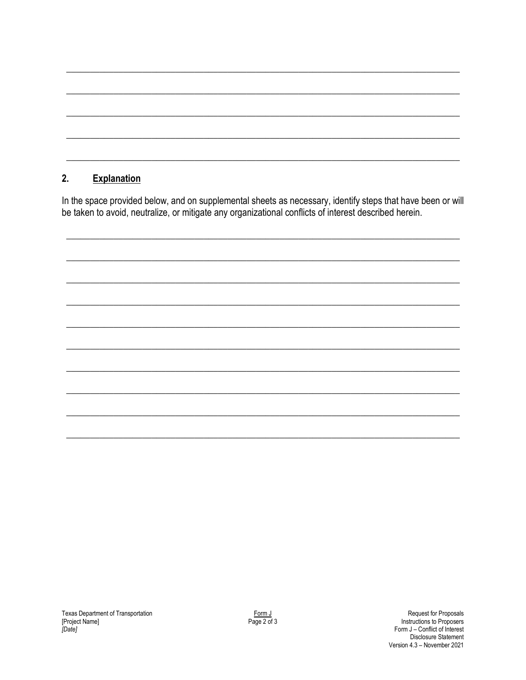#### $2.$ **Explanation**

In the space provided below, and on supplemental sheets as necessary, identify steps that have been or will be taken to avoid, neutralize, or mitigate any organizational conflicts of interest described herein.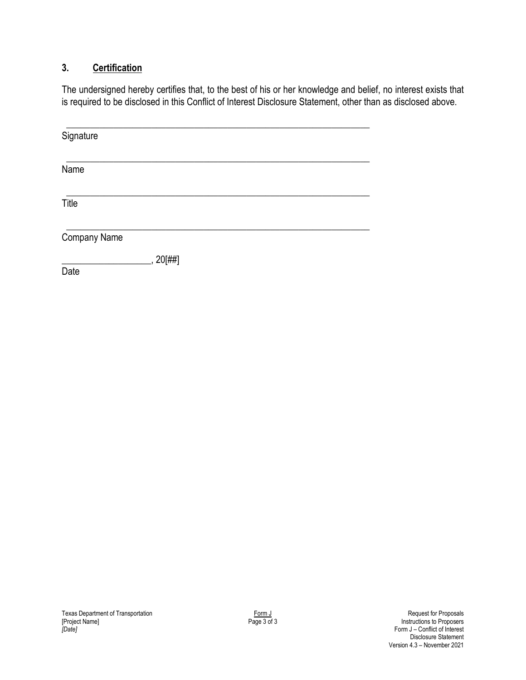# **3. Certification**

The undersigned hereby certifies that, to the best of his or her knowledge and belief, no interest exists that is required to be disclosed in this Conflict of Interest Disclosure Statement, other than as disclosed above.

| Signature           |           |  |  |
|---------------------|-----------|--|--|
| Name                |           |  |  |
| Title               |           |  |  |
| <b>Company Name</b> |           |  |  |
| Date                | $20[$ ##] |  |  |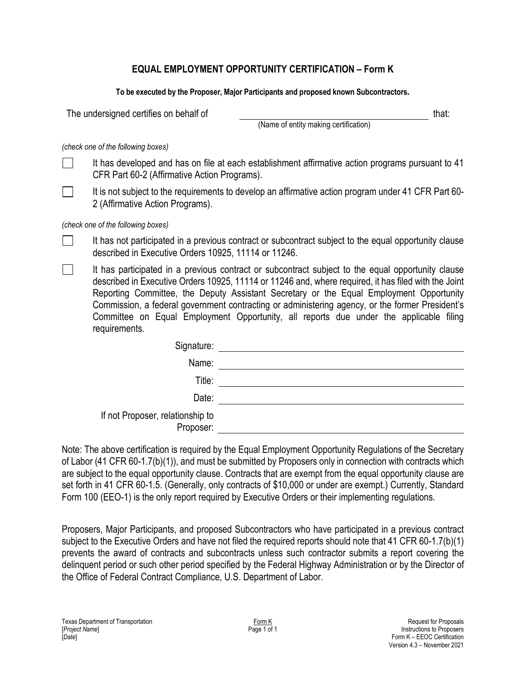### **EQUAL EMPLOYMENT OPPORTUNITY CERTIFICATION – Form K**

#### **To be executed by the Proposer, Major Participants and proposed known Subcontractors.**

The undersigned certifies on behalf of that: that: that: that: that: that: that: that: that: that: that: that: that: that: that: that: that: that: that: that: that: that: that: that: that: that: that: that: that: that: tha (Name of entity making certification) *(check one of the following boxes)*  $\mathbf{L}$ It has developed and has on file at each establishment affirmative action programs pursuant to 41 CFR Part 60-2 (Affirmative Action Programs).  $\Box$ It is not subject to the requirements to develop an affirmative action program under 41 CFR Part 60- 2 (Affirmative Action Programs). *(check one of the following boxes)*   $\Box$ It has not participated in a previous contract or subcontract subject to the equal opportunity clause described in Executive Orders 10925, 11114 or 11246.  $\overline{\phantom{a}}$ It has participated in a previous contract or subcontract subject to the equal opportunity clause described in Executive Orders 10925, 11114 or 11246 and, where required, it has filed with the Joint Reporting Committee, the Deputy Assistant Secretary or the Equal Employment Opportunity Commission, a federal government contracting or administering agency, or the former President's Committee on Equal Employment Opportunity, all reports due under the applicable filing requirements. Signature: <u>example and the set of the set of the set of the set of the set of the set of the set of the set of the set of the set of the set of the set of the set of the set of the set of the set of the set of the set of </u> Name: Title: **The Community of the Community of the Community of the Community of the Community of the Community of the Community of the Community of the Community of the Community of the Community of the Community of the Commun** Date:

If not Proposer, relationship to Proposer: with the contract of the contract of the contract of the contract of the contract of the contract of

Note: The above certification is required by the Equal Employment Opportunity Regulations of the Secretary of Labor (41 CFR 60-1.7(b)(1)), and must be submitted by Proposers only in connection with contracts which are subject to the equal opportunity clause. Contracts that are exempt from the equal opportunity clause are set forth in 41 CFR 60-1.5. (Generally, only contracts of \$10,000 or under are exempt.) Currently, Standard Form 100 (EEO-1) is the only report required by Executive Orders or their implementing regulations.

Proposers, Major Participants, and proposed Subcontractors who have participated in a previous contract subject to the Executive Orders and have not filed the required reports should note that 41 CFR 60-1.7(b)(1) prevents the award of contracts and subcontracts unless such contractor submits a report covering the delinquent period or such other period specified by the Federal Highway Administration or by the Director of the Office of Federal Contract Compliance, U.S. Department of Labor.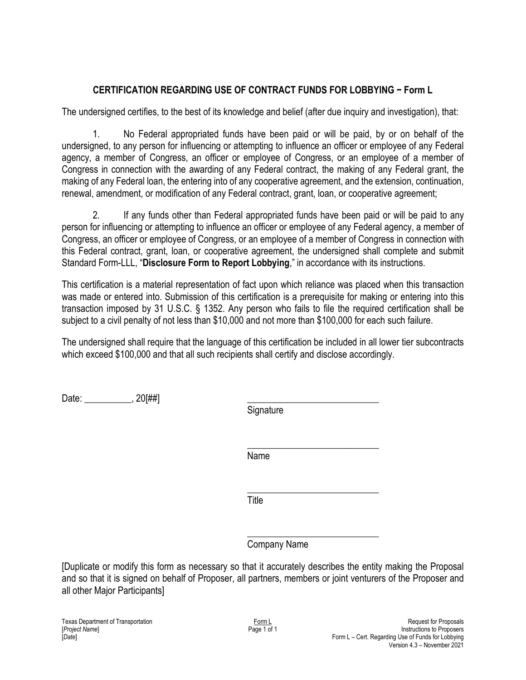# **CERTIFICATION REGARDING USE OF CONTRACT FUNDS FOR LOBBYING − Form L**

The undersigned certifies, to the best of its knowledge and belief (after due inquiry and investigation), that:

1. No Federal appropriated funds have been paid or will be paid, by or on behalf of the undersigned, to any person for influencing or attempting to influence an officer or employee of any Federal agency, a member of Congress, an officer or employee of Congress, or an employee of a member of Congress in connection with the awarding of any Federal contract, the making of any Federal grant, the making of any Federal loan, the entering into of any cooperative agreement, and the extension, continuation, renewal, amendment, or modification of any Federal contract, grant, loan, or cooperative agreement;

2. If any funds other than Federal appropriated funds have been paid or will be paid to any person for influencing or attempting to influence an officer or employee of any Federal agency, a member of Congress, an officer or employee of Congress, or an employee of a member of Congress in connection with this Federal contract, grant, loan, or cooperative agreement, the undersigned shall complete and submit Standard Form-LLL, "**Disclosure Form to Report Lobbying**," in accordance with its instructions.

This certification is a material representation of fact upon which reliance was placed when this transaction was made or entered into. Submission of this certification is a prerequisite for making or entering into this transaction imposed by 31 U.S.C. § 1352. Any person who fails to file the required certification shall be subject to a civil penalty of not less than \$10,000 and not more than \$100,000 for each such failure.

The undersigned shall require that the language of this certification be included in all lower tier subcontracts which exceed \$100,000 and that all such recipients shall certify and disclose accordingly.

 $Date:$   $20[# #]$ 

**Signature** 

\_\_\_\_\_\_\_\_\_\_\_\_\_\_\_\_\_\_\_\_\_\_\_\_\_\_\_\_ Name

\_\_\_\_\_\_\_\_\_\_\_\_\_\_\_\_\_\_\_\_\_\_\_\_\_\_\_\_ Title

\_\_\_\_\_\_\_\_\_\_\_\_\_\_\_\_\_\_\_\_\_\_\_\_\_\_\_\_ Company Name

[Duplicate or modify this form as necessary so that it accurately describes the entity making the Proposal and so that it is signed on behalf of Proposer, all partners, members or joint venturers of the Proposer and all other Major Participants]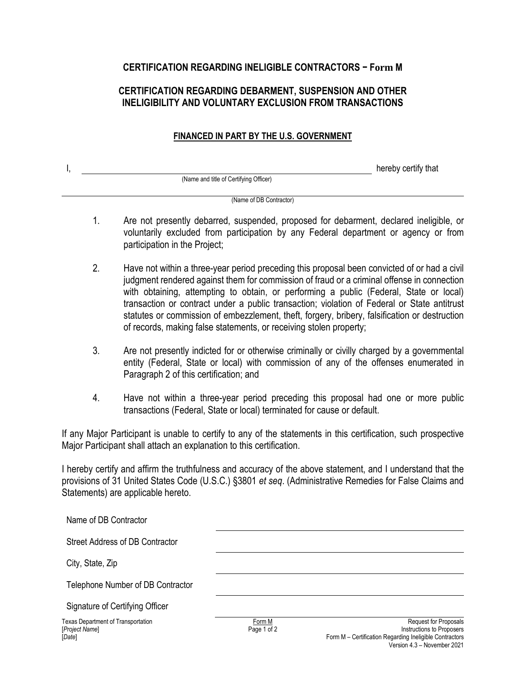### **CERTIFICATION REGARDING INELIGIBLE CONTRACTORS − Form M**

### **CERTIFICATION REGARDING DEBARMENT, SUSPENSION AND OTHER INELIGIBILITY AND VOLUNTARY EXCLUSION FROM TRANSACTIONS**

#### **FINANCED IN PART BY THE U.S. GOVERNMENT**

|                                        | hereby certify that |
|----------------------------------------|---------------------|
| (Name and title of Certifying Officer) |                     |

(Name of DB Contractor)

- 1. Are not presently debarred, suspended, proposed for debarment, declared ineligible, or voluntarily excluded from participation by any Federal department or agency or from participation in the Project;
- 2. Have not within a three-year period preceding this proposal been convicted of or had a civil judgment rendered against them for commission of fraud or a criminal offense in connection with obtaining, attempting to obtain, or performing a public (Federal, State or local) transaction or contract under a public transaction; violation of Federal or State antitrust statutes or commission of embezzlement, theft, forgery, bribery, falsification or destruction of records, making false statements, or receiving stolen property;
- 3. Are not presently indicted for or otherwise criminally or civilly charged by a governmental entity (Federal, State or local) with commission of any of the offenses enumerated in Paragraph 2 of this certification; and
- 4. Have not within a three-year period preceding this proposal had one or more public transactions (Federal, State or local) terminated for cause or default.

If any Major Participant is unable to certify to any of the statements in this certification, such prospective Major Participant shall attach an explanation to this certification.

I hereby certify and affirm the truthfulness and accuracy of the above statement, and I understand that the provisions of 31 United States Code (U.S.C.) §3801 *et seq*. (Administrative Remedies for False Claims and Statements) are applicable hereto.

| Name of DB Contractor                                          |                       |                                                                                                                      |
|----------------------------------------------------------------|-----------------------|----------------------------------------------------------------------------------------------------------------------|
| Street Address of DB Contractor                                |                       |                                                                                                                      |
| City, State, Zip                                               |                       |                                                                                                                      |
| Telephone Number of DB Contractor                              |                       |                                                                                                                      |
| Signature of Certifying Officer                                |                       |                                                                                                                      |
| Texas Department of Transportation<br>[Project Name]<br>[Date] | Form M<br>Page 1 of 2 | <b>Request for Proposals</b><br>Instructions to Proposers<br>Form M - Certification Regarding Ineligible Contractors |

Version 4.3 – November 2021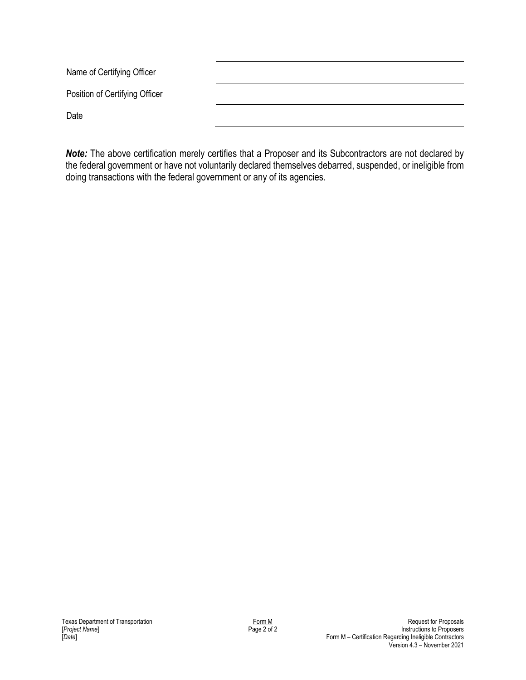| Name of Certifying Officer     |  |
|--------------------------------|--|
| Position of Certifying Officer |  |
| Date                           |  |

*Note:* The above certification merely certifies that a Proposer and its Subcontractors are not declared by the federal government or have not voluntarily declared themselves debarred, suspended, or ineligible from doing transactions with the federal government or any of its agencies.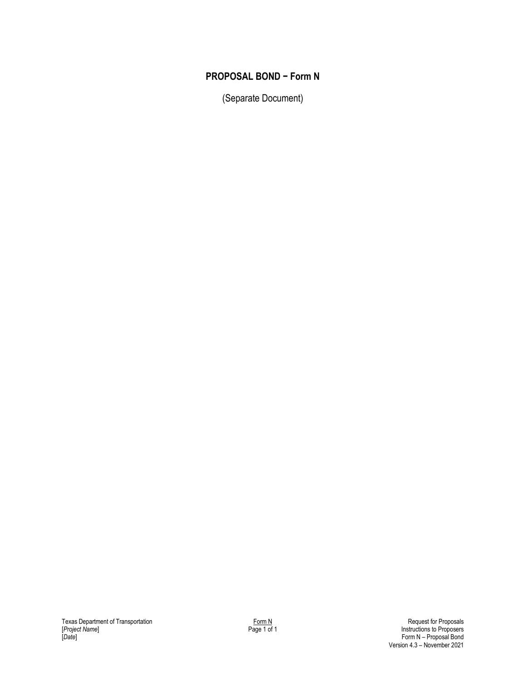### **PROPOSAL BOND − Form N**

(Separate Document)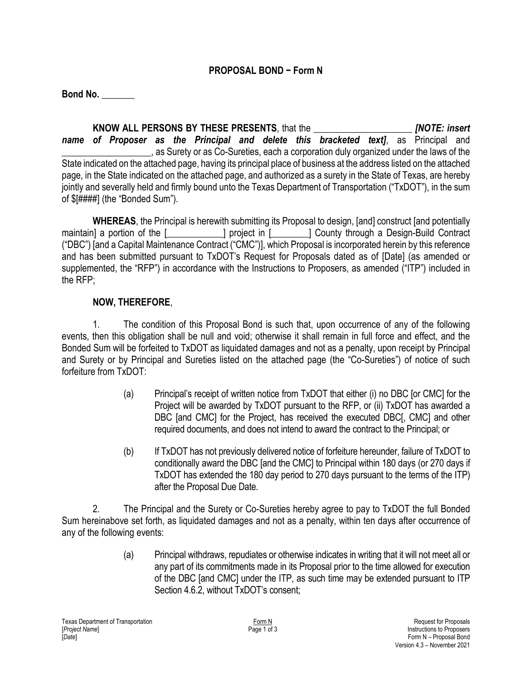#### **PROPOSAL BOND − Form N**

**Bond No. \_\_\_\_\_\_\_** 

**KNOW ALL PERSONS BY THESE PRESENTS**, that the \_\_\_\_\_\_\_\_\_\_\_\_\_\_\_\_\_\_\_\_\_ *[NOTE: insert name of Proposer as the Principal and delete this bracketed text]*, as Principal and \_\_\_\_\_\_\_\_\_\_\_\_\_\_\_\_\_\_\_, as Surety or as Co-Sureties, each a corporation duly organized under the laws of the State indicated on the attached page, having its principal place of business at the address listed on the attached page, in the State indicated on the attached page, and authorized as a surety in the State of Texas, are hereby jointly and severally held and firmly bound unto the Texas Department of Transportation ("TxDOT"), in the sum of \$[####] (the "Bonded Sum").

**WHEREAS**, the Principal is herewith submitting its Proposal to design, [and] construct [and potentially maintain] a portion of the [ \_\_\_\_\_\_\_\_\_\_\_\_\_] project in [ \_\_\_\_\_\_\_\_\_] County through a Design-Build Contract ("DBC") [and a Capital Maintenance Contract ("CMC")], which Proposal is incorporated herein by this reference and has been submitted pursuant to TxDOT's Request for Proposals dated as of [Date] (as amended or supplemented, the "RFP") in accordance with the Instructions to Proposers, as amended ("ITP") included in the RFP;

#### **NOW, THEREFORE**,

1. The condition of this Proposal Bond is such that, upon occurrence of any of the following events, then this obligation shall be null and void; otherwise it shall remain in full force and effect, and the Bonded Sum will be forfeited to TxDOT as liquidated damages and not as a penalty, upon receipt by Principal and Surety or by Principal and Sureties listed on the attached page (the "Co-Sureties") of notice of such forfeiture from TxDOT:

- (a) Principal's receipt of written notice from TxDOT that either (i) no DBC [or CMC] for the Project will be awarded by TxDOT pursuant to the RFP, or (ii) TxDOT has awarded a DBC [and CMC] for the Project, has received the executed DBC[, CMC] and other required documents, and does not intend to award the contract to the Principal; or
- (b) If TxDOT has not previously delivered notice of forfeiture hereunder, failure of TxDOT to conditionally award the DBC [and the CMC] to Principal within 180 days (or 270 days if TxDOT has extended the 180 day period to 270 days pursuant to the terms of the ITP) after the Proposal Due Date.

2. The Principal and the Surety or Co-Sureties hereby agree to pay to TxDOT the full Bonded Sum hereinabove set forth, as liquidated damages and not as a penalty, within ten days after occurrence of any of the following events:

> (a) Principal withdraws, repudiates or otherwise indicates in writing that it will not meet all or any part of its commitments made in its Proposal prior to the time allowed for execution of the DBC [and CMC] under the ITP, as such time may be extended pursuant to ITP Section 4.6.2, without TxDOT's consent;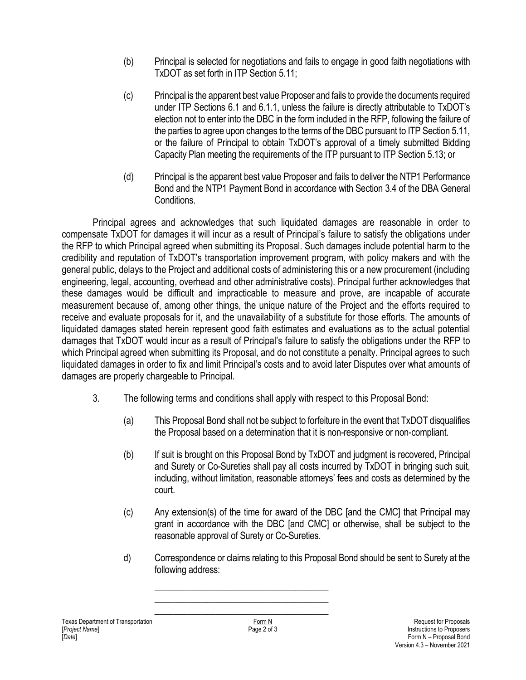- (b) Principal is selected for negotiations and fails to engage in good faith negotiations with TxDOT as set forth in ITP Section 5.11;
- (c) Principal is the apparent best value Proposer and fails to provide the documents required under ITP Sections 6.1 and 6.1.1, unless the failure is directly attributable to TxDOT's election not to enter into the DBC in the form included in the RFP, following the failure of the parties to agree upon changes to the terms of the DBC pursuant to ITP Section 5.11, or the failure of Principal to obtain TxDOT's approval of a timely submitted Bidding Capacity Plan meeting the requirements of the ITP pursuant to ITP Section 5.13; or
- (d) Principal is the apparent best value Proposer and fails to deliver the NTP1 Performance Bond and the NTP1 Payment Bond in accordance with Section 3.4 of the DBA General Conditions.

Principal agrees and acknowledges that such liquidated damages are reasonable in order to compensate TxDOT for damages it will incur as a result of Principal's failure to satisfy the obligations under the RFP to which Principal agreed when submitting its Proposal. Such damages include potential harm to the credibility and reputation of TxDOT's transportation improvement program, with policy makers and with the general public, delays to the Project and additional costs of administering this or a new procurement (including engineering, legal, accounting, overhead and other administrative costs). Principal further acknowledges that these damages would be difficult and impracticable to measure and prove, are incapable of accurate measurement because of, among other things, the unique nature of the Project and the efforts required to receive and evaluate proposals for it, and the unavailability of a substitute for those efforts. The amounts of liquidated damages stated herein represent good faith estimates and evaluations as to the actual potential damages that TxDOT would incur as a result of Principal's failure to satisfy the obligations under the RFP to which Principal agreed when submitting its Proposal, and do not constitute a penalty. Principal agrees to such liquidated damages in order to fix and limit Principal's costs and to avoid later Disputes over what amounts of damages are properly chargeable to Principal.

- 3. The following terms and conditions shall apply with respect to this Proposal Bond:
	- (a) This Proposal Bond shall not be subject to forfeiture in the event that TxDOT disqualifies the Proposal based on a determination that it is non-responsive or non-compliant.
	- (b) If suit is brought on this Proposal Bond by TxDOT and judgment is recovered, Principal and Surety or Co-Sureties shall pay all costs incurred by TxDOT in bringing such suit, including, without limitation, reasonable attorneys' fees and costs as determined by the court.
	- (c) Any extension(s) of the time for award of the DBC [and the CMC] that Principal may grant in accordance with the DBC [and CMC] or otherwise, shall be subject to the reasonable approval of Surety or Co-Sureties.
	- d) Correspondence or claims relating to this Proposal Bond should be sent to Surety at the following address:

\_\_\_\_\_\_\_\_\_\_\_\_\_\_\_\_\_\_\_\_\_\_\_\_\_\_\_\_\_\_\_\_\_\_\_\_\_ \_\_\_\_\_\_\_\_\_\_\_\_\_\_\_\_\_\_\_\_\_\_\_\_\_\_\_\_\_\_\_\_\_\_\_\_\_ \_\_\_\_\_\_\_\_\_\_\_\_\_\_\_\_\_\_\_\_\_\_\_\_\_\_\_\_\_\_\_\_\_\_\_\_\_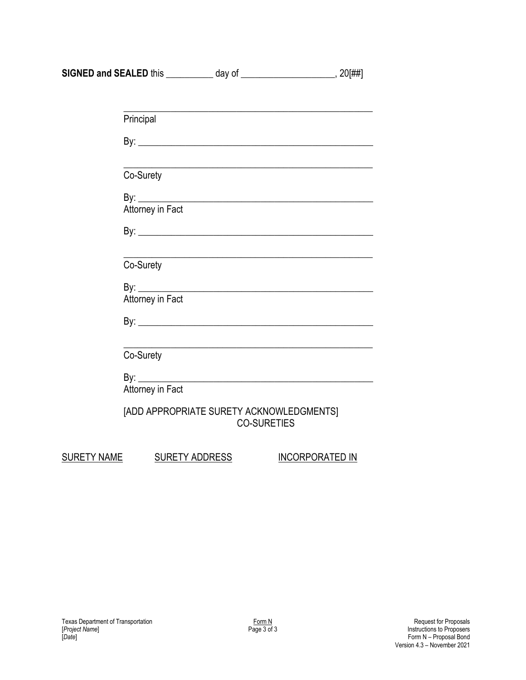| <b>SIGNED and SEALED this</b> | dav of | , 20[##1 |
|-------------------------------|--------|----------|
|-------------------------------|--------|----------|

| Principal |                                                                |
|-----------|----------------------------------------------------------------|
|           |                                                                |
|           |                                                                |
| Co-Surety |                                                                |
|           |                                                                |
|           | Attorney in Fact                                               |
|           | By: $\overline{\phantom{a}}$                                   |
|           |                                                                |
| Co-Surety |                                                                |
|           |                                                                |
|           | Attorney in Fact                                               |
|           |                                                                |
|           |                                                                |
| Co-Surety |                                                                |
|           |                                                                |
|           | Attorney in Fact                                               |
|           | [ADD APPROPRIATE SURETY ACKNOWLEDGMENTS]<br><b>CO-SURETIES</b> |

SURETY NAME SURETY ADDRESS INCORPORATED IN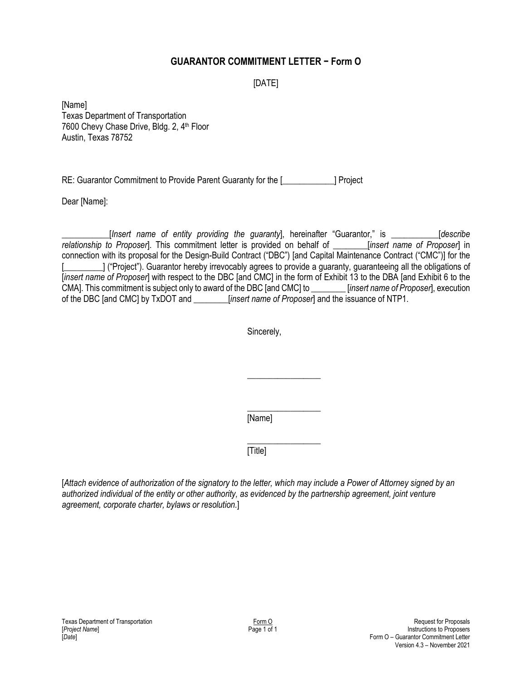### **GUARANTOR COMMITMENT LETTER − Form O**

[DATE]

[Name] Texas Department of Transportation 7600 Chevy Chase Drive, Bldg. 2, 4<sup>th</sup> Floor Austin, Texas 78752

RE: Guarantor Commitment to Provide Parent Guaranty for the [2000 Number of Project

Dear [Name]:

\_\_\_\_\_\_\_\_\_\_\_[*Insert name of entity providing the guaranty*], hereinafter "Guarantor," is \_\_\_\_\_\_\_\_\_\_\_[*describe relationship to Proposer*]. This commitment letter is provided on behalf of \_\_\_\_\_\_\_\_[*insert name of Proposer*] in connection with its proposal for the Design-Build Contract ("DBC") [and Capital Maintenance Contract ("CMC")] for the [\_\_\_\_\_\_\_\_\_] ("Project"). Guarantor hereby irrevocably agrees to provide a guaranty, guaranteeing all the obligations of [*insert name of Proposer*] with respect to the DBC [and CMC] in the form of Exhibit 13 to the DBA [and Exhibit 6 to the CMA]. This commitment is subject only to award of the DBC [and CMC] to \_\_\_\_\_\_\_\_ [*insert name of Proposer*], execution of the DBC [and CMC] by TxDOT and \_\_\_\_\_\_\_\_[*insert name of Proposer*] and the issuance of NTP1.

Sincerely,

\_\_\_\_\_\_\_\_\_\_\_\_\_\_\_\_\_

\_\_\_\_\_\_\_\_\_\_\_\_\_\_\_\_\_

\_\_\_\_\_\_\_\_\_\_\_\_\_\_\_\_\_ [Name]

[Title]

[*Attach evidence of authorization of the signatory to the letter, which may include a Power of Attorney signed by an authorized individual of the entity or other authority, as evidenced by the partnership agreement, joint venture agreement, corporate charter, bylaws or resolution.*]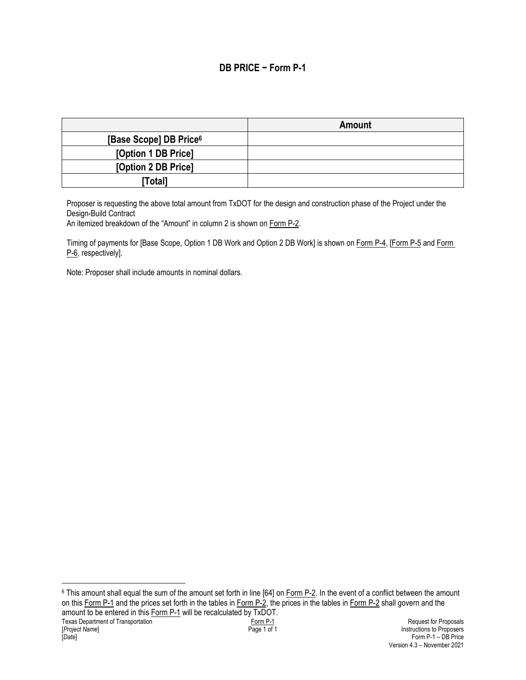### **DB PRICE − Form P-1**

|                                    | <b>Amount</b> |
|------------------------------------|---------------|
| [Base Scope] DB Price <sup>6</sup> |               |
| [Option 1 DB Price]                |               |
| [Option 2 DB Price]                |               |
| <b>Total</b> ]                     |               |

Proposer is requesting the above total amount from TxDOT for the design and construction phase of the Project under the Design-Build Contract

An itemized breakdown of the "Amount" in column 2 is shown on Form P-2.

Timing of payments for [Base Scope, Option 1 DB Work and Option 2 DB Work] is shown on Form P-4, [Form P-5 and Form P-6, respectively].

Note: Proposer shall include amounts in nominal dollars.

<sup>6</sup> This amount shall equal the sum of the amount set forth in line [64] on Form P-2. In the event of a conflict between the amount on this Form P-1 and the prices set forth in the tables in Form P-2, the prices in the tables in Form P-2 shall govern and the amount to be entered in this Form P-1 will be recalculated by TxDOT.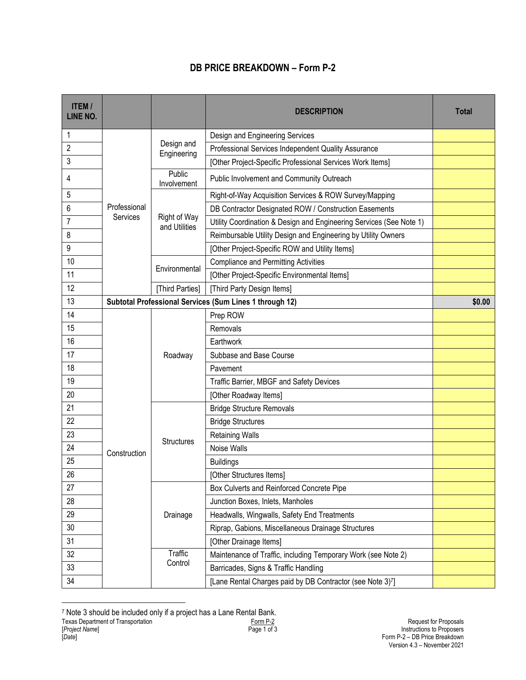### **DB PRICE BREAKDOWN – Form P-2**

| <b>ITEM/</b><br><b>LINE NO.</b> |              |                               | <b>DESCRIPTION</b>                                                  | <b>Total</b> |
|---------------------------------|--------------|-------------------------------|---------------------------------------------------------------------|--------------|
| 1                               |              |                               | Design and Engineering Services                                     |              |
| 2                               |              | Design and<br>Engineering     | Professional Services Independent Quality Assurance                 |              |
| 3                               |              |                               | [Other Project-Specific Professional Services Work Items]           |              |
| 4                               |              | Public<br>Involvement         | Public Involvement and Community Outreach                           |              |
| 5                               |              |                               | Right-of-Way Acquisition Services & ROW Survey/Mapping              |              |
| 6                               | Professional |                               | DB Contractor Designated ROW / Construction Easements               |              |
| $\overline{7}$                  | Services     | Right of Way<br>and Utilities | Utility Coordination & Design and Engineering Services (See Note 1) |              |
| 8                               |              |                               | Reimbursable Utility Design and Engineering by Utility Owners       |              |
| 9                               |              |                               | [Other Project-Specific ROW and Utility Items]                      |              |
| 10                              |              | Environmental                 | <b>Compliance and Permitting Activities</b>                         |              |
| 11                              |              |                               | [Other Project-Specific Environmental Items]                        |              |
| 12                              |              | [Third Parties]               | [Third Party Design Items]                                          |              |
| 13                              |              |                               | Subtotal Professional Services (Sum Lines 1 through 12)             | \$0.00       |
| 14                              |              |                               | Prep ROW                                                            |              |
| 15                              |              |                               | Removals                                                            |              |
| 16                              |              |                               | Earthwork                                                           |              |
| 17                              |              | Roadway                       | Subbase and Base Course                                             |              |
| 18                              |              |                               | Pavement                                                            |              |
| 19                              |              |                               | Traffic Barrier, MBGF and Safety Devices                            |              |
| 20                              |              |                               | [Other Roadway Items]                                               |              |
| 21                              |              |                               | <b>Bridge Structure Removals</b>                                    |              |
| 22                              |              |                               | <b>Bridge Structures</b>                                            |              |
| 23                              |              | <b>Structures</b>             | <b>Retaining Walls</b>                                              |              |
| 24                              | Construction |                               | Noise Walls                                                         |              |
| 25                              |              |                               | <b>Buildings</b>                                                    |              |
| 26                              |              |                               | [Other Structures Items]                                            |              |
| 27                              |              |                               | Box Culverts and Reinforced Concrete Pipe                           |              |
| 28                              |              |                               | Junction Boxes, Inlets, Manholes                                    |              |
| 29                              |              | Drainage                      | Headwalls, Wingwalls, Safety End Treatments                         |              |
| 30                              |              |                               | Riprap, Gabions, Miscellaneous Drainage Structures                  |              |
| 31                              |              |                               | [Other Drainage Items]                                              |              |
| 32                              |              | Traffic                       | Maintenance of Traffic, including Temporary Work (see Note 2)       |              |
| 33                              |              | Control                       | Barricades, Signs & Traffic Handling                                |              |
| 34                              |              |                               | [Lane Rental Charges paid by DB Contractor (see Note 3)7]           |              |

<sup>7</sup> Note 3 should be included only if a project has a Lane Rental Bank.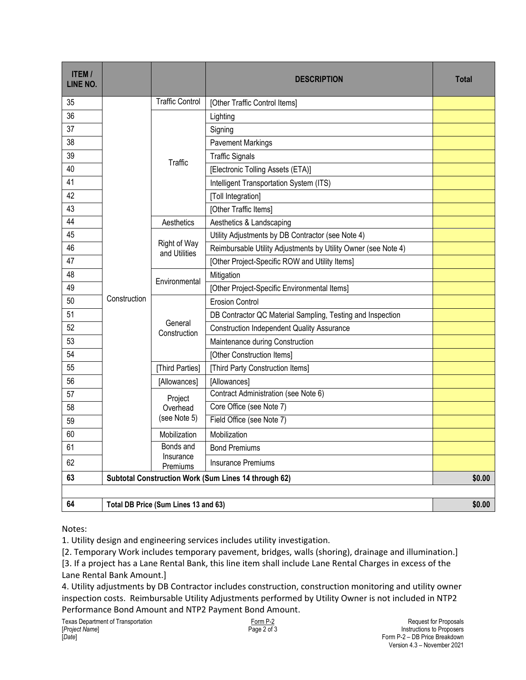| <b>ITEM/</b><br>LINE NO. |              |                                      | <b>DESCRIPTION</b>                                             | <b>Total</b> |
|--------------------------|--------------|--------------------------------------|----------------------------------------------------------------|--------------|
| 35                       |              | <b>Traffic Control</b>               | [Other Traffic Control Items]                                  |              |
| 36                       |              |                                      | Lighting                                                       |              |
| 37                       |              |                                      | Signing                                                        |              |
| 38                       |              |                                      | <b>Pavement Markings</b>                                       |              |
| 39                       |              |                                      | <b>Traffic Signals</b>                                         |              |
| 40                       |              | Traffic                              | [Electronic Tolling Assets (ETA)]                              |              |
| 41                       |              |                                      | Intelligent Transportation System (ITS)                        |              |
| 42                       |              |                                      | [Toll Integration]                                             |              |
| 43                       |              |                                      | [Other Traffic Items]                                          |              |
| 44                       |              | Aesthetics                           | Aesthetics & Landscaping                                       |              |
| 45                       |              |                                      | Utility Adjustments by DB Contractor (see Note 4)              |              |
| 46                       |              | Right of Way<br>and Utilities        | Reimbursable Utility Adjustments by Utility Owner (see Note 4) |              |
| 47                       |              |                                      | [Other Project-Specific ROW and Utility Items]                 |              |
| 48                       |              | Environmental                        | Mitigation                                                     |              |
| 49                       |              |                                      | [Other Project-Specific Environmental Items]                   |              |
| 50                       | Construction |                                      | <b>Erosion Control</b>                                         |              |
| 51                       |              |                                      | DB Contractor QC Material Sampling, Testing and Inspection     |              |
| 52                       |              | General<br>Construction              | <b>Construction Independent Quality Assurance</b>              |              |
| 53                       |              |                                      | Maintenance during Construction                                |              |
| 54                       |              |                                      | [Other Construction Items]                                     |              |
| 55                       |              | [Third Parties]                      | [Third Party Construction Items]                               |              |
| 56                       |              | [Allowances]                         | [Allowances]                                                   |              |
| 57                       |              | Project                              | Contract Administration (see Note 6)                           |              |
| 58                       |              | Overhead                             | Core Office (see Note 7)                                       |              |
| 59                       |              | (see Note 5)                         | Field Office (see Note 7)                                      |              |
| 60                       |              | Mobilization                         | Mobilization                                                   |              |
| 61                       |              | Bonds and                            | <b>Bond Premiums</b>                                           |              |
| 62                       |              | Insurance<br>Premiums                | <b>Insurance Premiums</b>                                      |              |
| 63                       |              |                                      | Subtotal Construction Work (Sum Lines 14 through 62)           | \$0.00       |
| 64                       |              | Total DB Price (Sum Lines 13 and 63) |                                                                | \$0.00       |

Notes:

1. Utility design and engineering services includes utility investigation.

[2. Temporary Work includes temporary pavement, bridges, walls (shoring), drainage and illumination.]

[3. If a project has a Lane Rental Bank, this line item shall include Lane Rental Charges in excess of the Lane Rental Bank Amount.]

4. Utility adjustments by DB Contractor includes construction, construction monitoring and utility owner inspection costs. Reimbursable Utility Adjustments performed by Utility Owner is not included in NTP2 Performance Bond Amount and NTP2 Payment Bond Amount.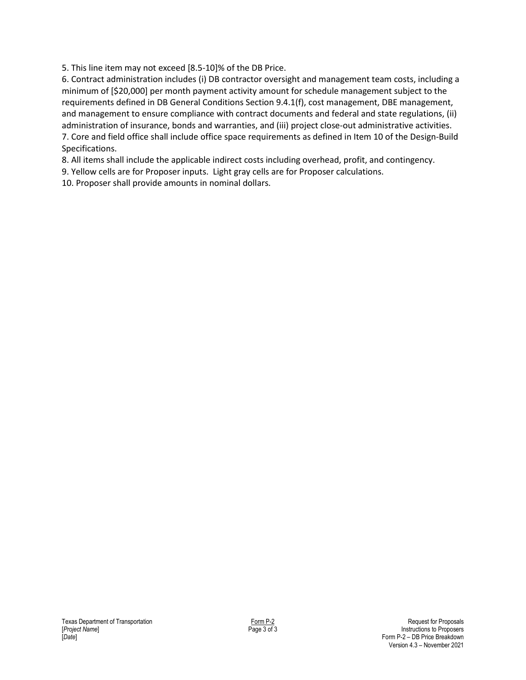5. This line item may not exceed [8.5-10]% of the DB Price.

6. Contract administration includes (i) DB contractor oversight and management team costs, including a minimum of [\$20,000] per month payment activity amount for schedule management subject to the requirements defined in DB General Conditions Section 9.4.1(f), cost management, DBE management, and management to ensure compliance with contract documents and federal and state regulations, (ii) administration of insurance, bonds and warranties, and (iii) project close-out administrative activities. 7. Core and field office shall include office space requirements as defined in Item 10 of the Design-Build Specifications.

8. All items shall include the applicable indirect costs including overhead, profit, and contingency.

9. Yellow cells are for Proposer inputs. Light gray cells are for Proposer calculations.

10. Proposer shall provide amounts in nominal dollars.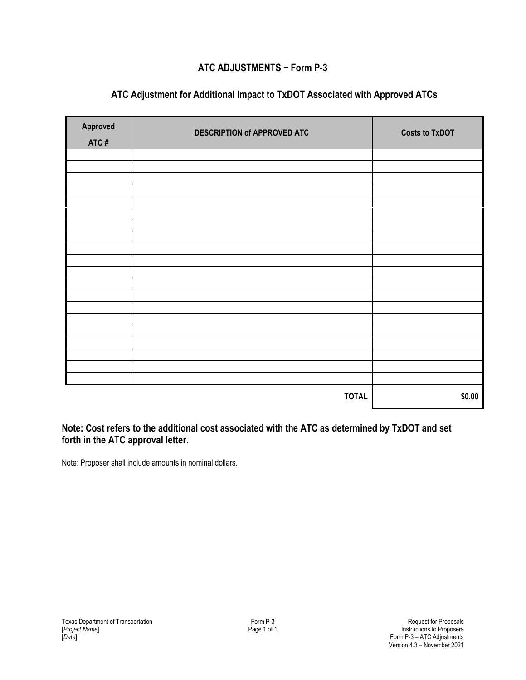### **ATC ADJUSTMENTS − Form P-3**

### **ATC Adjustment for Additional Impact to TxDOT Associated with Approved ATCs**

| Approved<br>ATC# | DESCRIPTION of APPROVED ATC | <b>Costs to TxDOT</b> |
|------------------|-----------------------------|-----------------------|
|                  |                             |                       |
|                  |                             |                       |
|                  |                             |                       |
|                  |                             |                       |
|                  |                             |                       |
|                  |                             |                       |
|                  |                             |                       |
|                  |                             |                       |
|                  |                             |                       |
|                  |                             |                       |
|                  |                             |                       |
|                  |                             |                       |
|                  |                             |                       |
|                  |                             |                       |
|                  |                             |                       |
|                  |                             |                       |
|                  |                             |                       |
|                  |                             |                       |
|                  |                             |                       |
|                  | <b>TOTAL</b>                | \$0.00                |

**Note: Cost refers to the additional cost associated with the ATC as determined by TxDOT and set forth in the ATC approval letter.** 

Note: Proposer shall include amounts in nominal dollars.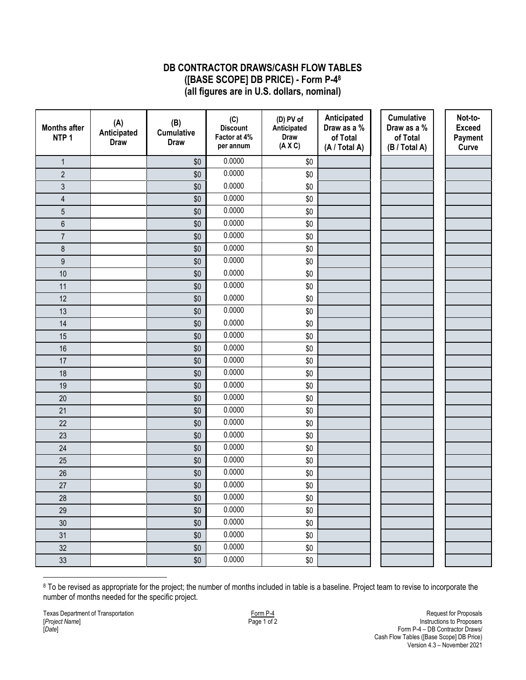#### **DB CONTRACTOR DRAWS/CASH FLOW TABLES ([BASE SCOPE] DB PRICE) - Form P-4<sup>8</sup> (all figures are in U.S. dollars, nominal)**

| <b>Months after</b><br>NTP <sub>1</sub> | (A)<br>Anticipated<br><b>Draw</b> | (B)<br><b>Cumulative</b><br><b>Draw</b> | (C)<br><b>Discount</b><br>Factor at 4%<br>per annum | (D) PV of<br>Anticipated<br><b>Draw</b><br>$(A \times C)$ | Anticipated<br>Draw as a %<br>of Total<br>(A / Total A) | <b>Cumulative</b><br>Draw as a %<br>of Total<br>(B / Total A) | Not-to-<br><b>Exceed</b><br>Payment<br>Curve |
|-----------------------------------------|-----------------------------------|-----------------------------------------|-----------------------------------------------------|-----------------------------------------------------------|---------------------------------------------------------|---------------------------------------------------------------|----------------------------------------------|
| $\mathbf 1$                             |                                   | \$0                                     | 0.0000                                              | \$0                                                       |                                                         |                                                               |                                              |
| $\overline{2}$                          |                                   | \$0                                     | 0.0000                                              | \$0                                                       |                                                         |                                                               |                                              |
| $\mathfrak{S}$                          |                                   | \$0                                     | 0.0000                                              | \$0                                                       |                                                         |                                                               |                                              |
| $\overline{4}$                          |                                   | \$0                                     | 0.0000                                              | \$0                                                       |                                                         |                                                               |                                              |
| $\sqrt{5}$                              |                                   | \$0                                     | 0.0000                                              | \$0                                                       |                                                         |                                                               |                                              |
| $\,6\,$                                 |                                   | \$0                                     | 0.0000                                              | \$0                                                       |                                                         |                                                               |                                              |
| $\overline{7}$                          |                                   | \$0                                     | 0.0000                                              | \$0                                                       |                                                         |                                                               |                                              |
| $\bf 8$                                 |                                   | \$0                                     | 0.0000                                              | \$0                                                       |                                                         |                                                               |                                              |
| $\boldsymbol{9}$                        |                                   | \$0                                     | 0.0000                                              | \$0                                                       |                                                         |                                                               |                                              |
| 10                                      |                                   | \$0                                     | 0.0000                                              | \$0                                                       |                                                         |                                                               |                                              |
| 11                                      |                                   | \$0                                     | 0.0000                                              | \$0                                                       |                                                         |                                                               |                                              |
| 12                                      |                                   | \$0                                     | 0.0000                                              | \$0                                                       |                                                         |                                                               |                                              |
| 13                                      |                                   | \$0                                     | 0.0000                                              | \$0                                                       |                                                         |                                                               |                                              |
| 14                                      |                                   | \$0                                     | 0.0000                                              | \$0                                                       |                                                         |                                                               |                                              |
| 15                                      |                                   | \$0                                     | 0.0000                                              | \$0                                                       |                                                         |                                                               |                                              |
| 16                                      |                                   | \$0                                     | 0.0000                                              | \$0                                                       |                                                         |                                                               |                                              |
| 17                                      |                                   | \$0                                     | 0.0000                                              | \$0                                                       |                                                         |                                                               |                                              |
| 18                                      |                                   | \$0                                     | 0.0000                                              | \$0                                                       |                                                         |                                                               |                                              |
| 19                                      |                                   | \$0                                     | 0.0000                                              | \$0                                                       |                                                         |                                                               |                                              |
| 20                                      |                                   | \$0                                     | 0.0000                                              | \$0                                                       |                                                         |                                                               |                                              |
| 21                                      |                                   | \$0                                     | 0.0000                                              | \$0                                                       |                                                         |                                                               |                                              |
| 22                                      |                                   | \$0                                     | 0.0000                                              | \$0                                                       |                                                         |                                                               |                                              |
| 23                                      |                                   | \$0                                     | 0.0000                                              | \$0                                                       |                                                         |                                                               |                                              |
| 24                                      |                                   | \$0                                     | 0.0000                                              | \$0                                                       |                                                         |                                                               |                                              |
| 25                                      |                                   | \$0                                     | 0.0000                                              | \$0                                                       |                                                         |                                                               |                                              |
| 26                                      |                                   | \$0                                     | 0.0000                                              | \$0                                                       |                                                         |                                                               |                                              |
| 27                                      |                                   | \$0                                     | 0.0000                                              | \$0                                                       |                                                         |                                                               |                                              |
| 28                                      |                                   | \$0                                     | 0.0000                                              | \$0                                                       |                                                         |                                                               |                                              |
| 29                                      |                                   | \$0                                     | 0.0000                                              | \$0                                                       |                                                         |                                                               |                                              |
| $30\,$                                  |                                   | \$0                                     | 0.0000                                              | \$0                                                       |                                                         |                                                               |                                              |
| 31                                      |                                   | \$0                                     | 0.0000                                              | \$0                                                       |                                                         |                                                               |                                              |
| 32                                      |                                   | \$0                                     | 0.0000                                              | \$0                                                       |                                                         |                                                               |                                              |
| 33                                      |                                   | \$0                                     | 0.0000                                              | $$0$$                                                     |                                                         |                                                               |                                              |

<sup>8</sup> To be revised as appropriate for the project; the number of months included in table is a baseline. Project team to revise to incorporate the number of months needed for the specific project.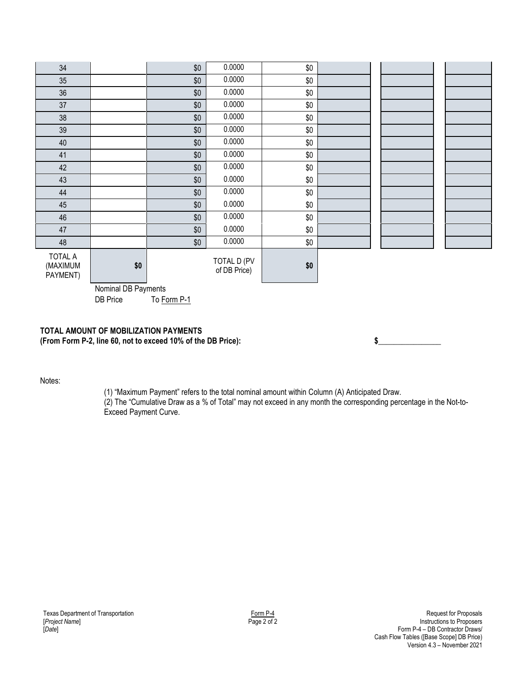| 34                                     |                     | \$0 | 0.0000                      | \$0 |  |  |
|----------------------------------------|---------------------|-----|-----------------------------|-----|--|--|
| 35                                     |                     | \$0 | 0.0000                      | \$0 |  |  |
| 36                                     |                     | \$0 | 0.0000                      | \$0 |  |  |
| 37                                     |                     | \$0 | 0.0000                      | \$0 |  |  |
| 38                                     |                     | \$0 | 0.0000                      | \$0 |  |  |
| 39                                     |                     | \$0 | 0.0000                      | \$0 |  |  |
| 40                                     |                     | \$0 | 0.0000                      | \$0 |  |  |
| 41                                     |                     | \$0 | 0.0000                      | \$0 |  |  |
| 42                                     |                     | \$0 | 0.0000                      | \$0 |  |  |
| 43                                     |                     | \$0 | 0.0000                      | \$0 |  |  |
| 44                                     |                     | \$0 | 0.0000                      | \$0 |  |  |
| 45                                     |                     | \$0 | 0.0000                      | \$0 |  |  |
| 46                                     |                     | \$0 | 0.0000                      | \$0 |  |  |
| 47                                     |                     | \$0 | 0.0000                      | \$0 |  |  |
| 48                                     |                     | \$0 | 0.0000                      | \$0 |  |  |
| <b>TOTAL A</b><br>(MAXIMUM<br>PAYMENT) | \$0                 |     | TOTAL D (PV<br>of DB Price) | \$0 |  |  |
|                                        | Nominal DD Doumanta |     |                             |     |  |  |

Nominal DB Payments DB Price To Form P-1

#### **TOTAL AMOUNT OF MOBILIZATION PAYMENTS (From Form P-2, line 60, not to exceed 10% of the DB Price): \$\_\_\_\_\_\_\_\_\_\_\_\_\_\_\_\_**

Notes:

(1) "Maximum Payment" refers to the total nominal amount within Column (A) Anticipated Draw.

(2) The "Cumulative Draw as a % of Total" may not exceed in any month the corresponding percentage in the Not-to-Exceed Payment Curve.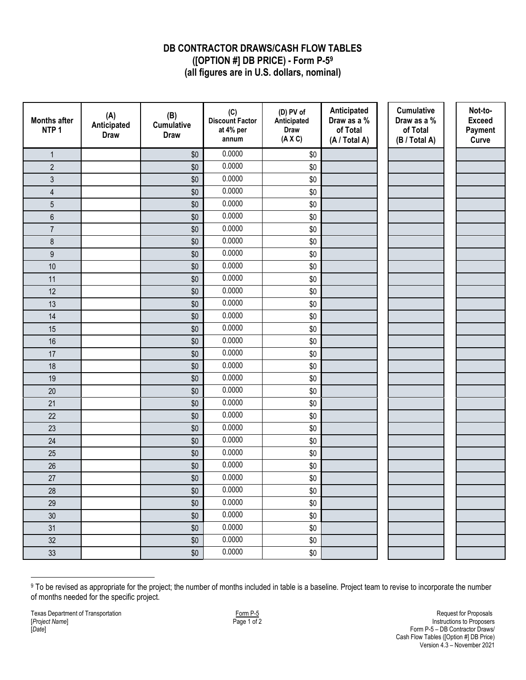#### **DB CONTRACTOR DRAWS/CASH FLOW TABLES ([OPTION #] DB PRICE) - Form P-5<sup>9</sup> (all figures are in U.S. dollars, nominal)**

| <b>Months after</b><br>NTP <sub>1</sub> | (A)<br>Anticipated<br><b>Draw</b> | (B)<br><b>Cumulative</b><br><b>Draw</b> | (C)<br><b>Discount Factor</b><br>at 4% per<br>annum | (D) PV of<br>Anticipated<br><b>Draw</b><br>(AX C) | Anticipated<br>Draw as a %<br>of Total<br>(A / Total A) | <b>Cumulative</b><br>Draw as a %<br>of Total<br>(B / Total A) | Not-to-<br><b>Exceed</b><br>Payment<br>Curve |
|-----------------------------------------|-----------------------------------|-----------------------------------------|-----------------------------------------------------|---------------------------------------------------|---------------------------------------------------------|---------------------------------------------------------------|----------------------------------------------|
| $\mathbf 1$                             |                                   | \$0                                     | 0.0000                                              | \$0                                               |                                                         |                                                               |                                              |
| $\overline{c}$                          |                                   | \$0                                     | 0.0000                                              | \$0                                               |                                                         |                                                               |                                              |
| $\mathfrak{Z}$                          |                                   | \$0                                     | 0.0000                                              | \$0                                               |                                                         |                                                               |                                              |
| $\overline{\mathbf{4}}$                 |                                   | \$0                                     | 0.0000                                              | \$0                                               |                                                         |                                                               |                                              |
| $\sqrt{5}$                              |                                   | \$0                                     | 0.0000                                              | \$0                                               |                                                         |                                                               |                                              |
| $\boldsymbol{6}$                        |                                   | \$0                                     | 0.0000                                              | \$0                                               |                                                         |                                                               |                                              |
| $\overline{7}$                          |                                   | \$0                                     | 0.0000                                              | \$0                                               |                                                         |                                                               |                                              |
| $\bf 8$                                 |                                   | \$0                                     | 0.0000                                              | \$0                                               |                                                         |                                                               |                                              |
| $\boldsymbol{9}$                        |                                   | \$0                                     | 0.0000                                              | \$0                                               |                                                         |                                                               |                                              |
| 10                                      |                                   | \$0                                     | 0.0000                                              | \$0                                               |                                                         |                                                               |                                              |
| 11                                      |                                   | \$0                                     | 0.0000                                              | \$0                                               |                                                         |                                                               |                                              |
| 12                                      |                                   | \$0                                     | 0.0000                                              | \$0                                               |                                                         |                                                               |                                              |
| 13                                      |                                   | \$0                                     | 0.0000                                              | \$0                                               |                                                         |                                                               |                                              |
| 14                                      |                                   | \$0                                     | 0.0000                                              | \$0                                               |                                                         |                                                               |                                              |
| 15                                      |                                   | \$0                                     | 0.0000                                              | \$0                                               |                                                         |                                                               |                                              |
| 16                                      |                                   | \$0                                     | 0.0000                                              | \$0                                               |                                                         |                                                               |                                              |
| 17                                      |                                   | \$0                                     | 0.0000                                              | \$0                                               |                                                         |                                                               |                                              |
| 18                                      |                                   | \$0                                     | 0.0000                                              | \$0                                               |                                                         |                                                               |                                              |
| 19                                      |                                   | \$0                                     | 0.0000                                              | \$0                                               |                                                         |                                                               |                                              |
| 20                                      |                                   | \$0                                     | 0.0000                                              | \$0                                               |                                                         |                                                               |                                              |
| 21                                      |                                   | \$0                                     | 0.0000                                              | \$0                                               |                                                         |                                                               |                                              |
| 22                                      |                                   | \$0                                     | 0.0000                                              | \$0                                               |                                                         |                                                               |                                              |
| 23                                      |                                   | \$0                                     | 0.0000                                              | \$0                                               |                                                         |                                                               |                                              |
| 24                                      |                                   | \$0                                     | 0.0000                                              | \$0                                               |                                                         |                                                               |                                              |
| 25                                      |                                   | \$0                                     | 0.0000                                              | \$0                                               |                                                         |                                                               |                                              |
| 26                                      |                                   | \$0                                     | 0.0000                                              | \$0                                               |                                                         |                                                               |                                              |
| 27                                      |                                   | \$0                                     | 0.0000                                              | \$0                                               |                                                         |                                                               |                                              |
| 28                                      |                                   | \$0                                     | 0.0000                                              | \$0                                               |                                                         |                                                               |                                              |
| 29                                      |                                   | \$0                                     | 0.0000                                              | \$0                                               |                                                         |                                                               |                                              |
| $30\,$                                  |                                   | \$0                                     | 0.0000                                              | $$0$$                                             |                                                         |                                                               |                                              |
| 31                                      |                                   | \$0                                     | 0.0000                                              | \$0                                               |                                                         |                                                               |                                              |
| 32                                      |                                   | \$0                                     | 0.0000                                              | \$0                                               |                                                         |                                                               |                                              |
| 33                                      |                                   | \$0                                     | 0.0000                                              | \$0                                               |                                                         |                                                               |                                              |

<sup>9</sup> To be revised as appropriate for the project; the number of months included in table is a baseline. Project team to revise to incorporate the number of months needed for the specific project.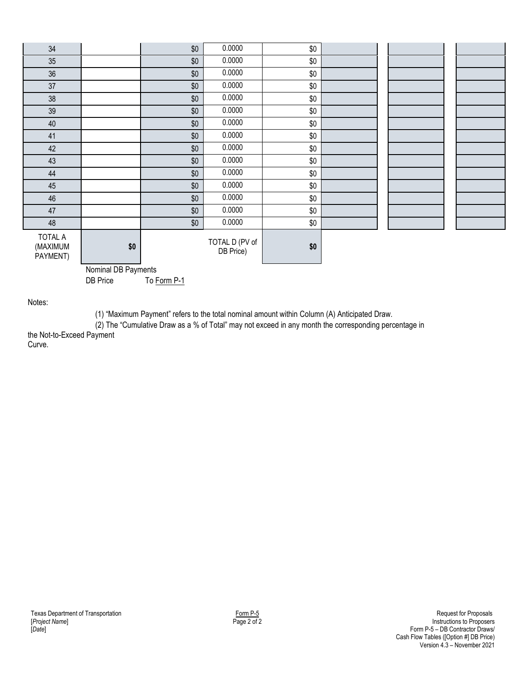| 34                                     |                     | \$0 | 0.0000                      | \$0 |  |  |
|----------------------------------------|---------------------|-----|-----------------------------|-----|--|--|
| 35                                     |                     | \$0 | 0.0000                      | \$0 |  |  |
| 36                                     |                     | \$0 | 0.0000                      | \$0 |  |  |
| 37                                     |                     | \$0 | 0.0000                      | \$0 |  |  |
| 38                                     |                     | \$0 | 0.0000                      | \$0 |  |  |
| 39                                     |                     | \$0 | 0.0000                      | \$0 |  |  |
| 40                                     |                     | \$0 | 0.0000                      | \$0 |  |  |
| 41                                     |                     | \$0 | 0.0000                      | \$0 |  |  |
| 42                                     |                     | \$0 | 0.0000                      | \$0 |  |  |
| 43                                     |                     | \$0 | 0.0000                      | \$0 |  |  |
| 44                                     |                     | \$0 | 0.0000                      | \$0 |  |  |
| 45                                     |                     | \$0 | 0.0000                      | \$0 |  |  |
| 46                                     |                     | \$0 | 0.0000                      | \$0 |  |  |
| 47                                     |                     | \$0 | 0.0000                      | \$0 |  |  |
| 48                                     |                     | \$0 | 0.0000                      | \$0 |  |  |
| <b>TOTAL A</b><br>(MAXIMUM<br>PAYMENT) | \$0                 |     | TOTAL D (PV of<br>DB Price) | \$0 |  |  |
|                                        | Nominal DB Payments |     |                             |     |  |  |

DB Price To Form P-1

Notes:

(1) "Maximum Payment" refers to the total nominal amount within Column (A) Anticipated Draw.

(2) The "Cumulative Draw as a % of Total" may not exceed in any month the corresponding percentage in the Not-to-Exceed Payment

Curve.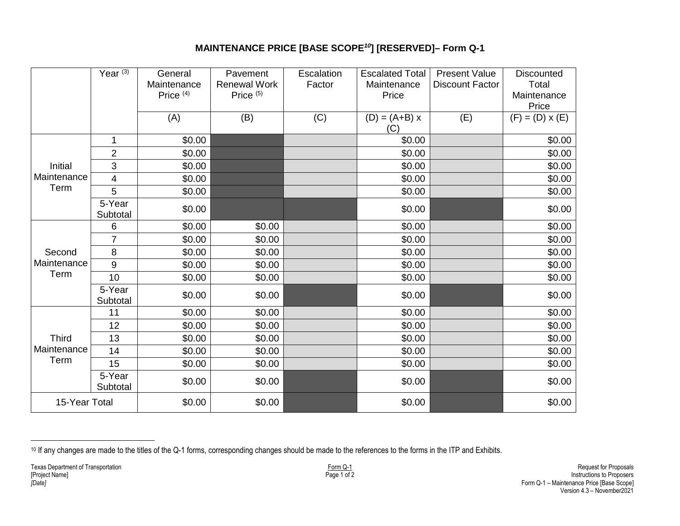# **MAINTENANCE PRICE [BASE SCOPE***<sup>10</sup>***] [RESERVED]– Form Q-1**

|               | Year $(3)$         | General     | Pavement             | Escalation | <b>Escalated Total</b> | <b>Present Value</b>   | <b>Discounted</b>      |
|---------------|--------------------|-------------|----------------------|------------|------------------------|------------------------|------------------------|
|               |                    | Maintenance | <b>Renewal Work</b>  | Factor     | Maintenance            | <b>Discount Factor</b> | Total                  |
|               |                    | Price $(4)$ | Price <sup>(5)</sup> |            | Price                  |                        | Maintenance            |
|               |                    |             |                      |            |                        |                        | Price                  |
|               |                    | (A)         | (B)                  | (C)        | $(D) = (A+B) x$<br>(C) | (E)                    | $(F) = (D) \times (E)$ |
|               | 1                  | \$0.00      |                      |            | \$0.00                 |                        | \$0.00                 |
|               | $\overline{2}$     | \$0.00      |                      |            | \$0.00                 |                        | \$0.00                 |
| Initial       | 3                  | \$0.00      |                      |            | \$0.00                 |                        | \$0.00                 |
| Maintenance   | 4                  | \$0.00      |                      |            | \$0.00                 |                        | \$0.00                 |
| Term          | 5                  | \$0.00      |                      |            | \$0.00                 |                        | \$0.00                 |
|               | 5-Year<br>Subtotal | \$0.00      |                      |            | \$0.00                 |                        | \$0.00                 |
|               | 6                  | \$0.00      | \$0.00               |            | \$0.00                 |                        | \$0.00                 |
|               | $\overline{7}$     | \$0.00      | \$0.00               |            | \$0.00                 |                        | \$0.00                 |
| Second        | 8                  | \$0.00      | \$0.00               |            | \$0.00                 |                        | \$0.00                 |
| Maintenance   | 9                  | \$0.00      | \$0.00               |            | \$0.00                 |                        | \$0.00                 |
| Term          | 10                 | \$0.00      | \$0.00               |            | \$0.00                 |                        | \$0.00                 |
|               | 5-Year<br>Subtotal | \$0.00      | \$0.00               |            | \$0.00                 |                        | \$0.00                 |
|               | 11                 | \$0.00      | \$0.00               |            | \$0.00                 |                        | \$0.00                 |
|               | 12                 | \$0.00      | \$0.00               |            | \$0.00                 |                        | \$0.00                 |
| <b>Third</b>  | 13                 | \$0.00      | \$0.00               |            | \$0.00                 |                        | \$0.00                 |
| Maintenance   | 14                 | \$0.00      | \$0.00               |            | \$0.00                 |                        | \$0.00                 |
| Term          | 15                 | \$0.00      | \$0.00               |            | \$0.00                 |                        | \$0.00                 |
|               | 5-Year<br>Subtotal | \$0.00      | \$0.00               |            | \$0.00                 |                        | \$0.00                 |
| 15-Year Total |                    | \$0.00      | \$0.00               |            | \$0.00                 |                        | \$0.00                 |

10 If any changes are made to the titles of the Q-1 forms, corresponding changes should be made to the references to the forms in the ITP and Exhibits.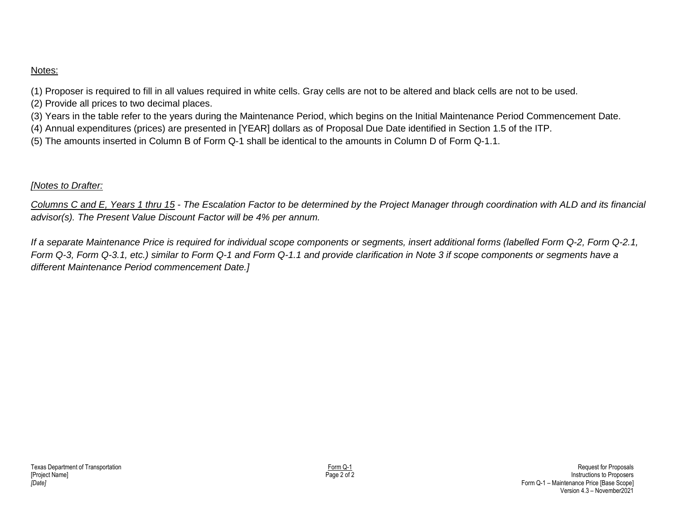#### Notes:

- (1) Proposer is required to fill in all values required in white cells. Gray cells are not to be altered and black cells are not to be used.
- (2) Provide all prices to two decimal places.
- (3) Years in the table refer to the years during the Maintenance Period, which begins on the Initial Maintenance Period Commencement Date.
- (4) Annual expenditures (prices) are presented in [YEAR] dollars as of Proposal Due Date identified in Section 1.5 of the ITP.
- (5) The amounts inserted in Column B of Form Q-1 shall be identical to the amounts in Column D of Form Q-1.1.

### *[Notes to Drafter:*

*Columns C and E, Years 1 thru 15 - The Escalation Factor to be determined by the Project Manager through coordination with ALD and its financial advisor(s). The Present Value Discount Factor will be 4% per annum.* 

*If a separate Maintenance Price is required for individual scope components or segments, insert additional forms (labelled Form Q-2, Form Q-2.1, Form Q-3, Form Q-3.1, etc.) similar to Form Q-1 and Form Q-1.1 and provide clarification in Note 3 if scope components or segments have a different Maintenance Period commencement Date.]*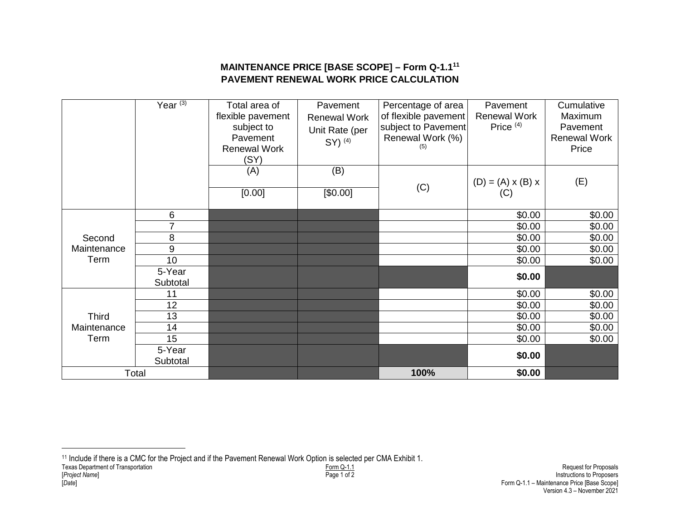### **MAINTENANCE PRICE [BASE SCOPE] – Form Q-1.1<sup>11</sup> PAVEMENT RENEWAL WORK PRICE CALCULATION**

|             | Year $(3)$         | Total area of<br>flexible pavement<br>subject to<br>Pavement<br><b>Renewal Work</b><br>(SY) | Pavement<br><b>Renewal Work</b><br>Unit Rate (per<br>SY) (4) | Percentage of area<br>of flexible pavement<br>subject to Pavement<br>Renewal Work (%)<br>(5) | Pavement<br><b>Renewal Work</b><br>Price <sup>(4)</sup> | Cumulative<br>Maximum<br>Pavement<br>Renewal Work<br>Price |
|-------------|--------------------|---------------------------------------------------------------------------------------------|--------------------------------------------------------------|----------------------------------------------------------------------------------------------|---------------------------------------------------------|------------------------------------------------------------|
|             |                    | (A)<br>[0.00]                                                                               | (B)<br>[\$0.00]                                              | (C)                                                                                          | $(D) = (A) \times (B) \times$<br>(C)                    | (E)                                                        |
|             | 6                  |                                                                                             |                                                              |                                                                                              | \$0.00                                                  | \$0.00                                                     |
|             | $\overline{7}$     |                                                                                             |                                                              |                                                                                              | \$0.00                                                  | \$0.00                                                     |
| Second      | 8                  |                                                                                             |                                                              |                                                                                              | \$0.00                                                  | \$0.00                                                     |
| Maintenance | 9                  |                                                                                             |                                                              |                                                                                              | \$0.00                                                  | \$0.00                                                     |
| Term        | 10                 |                                                                                             |                                                              |                                                                                              | \$0.00                                                  | \$0.00                                                     |
|             | 5-Year<br>Subtotal |                                                                                             |                                                              |                                                                                              | \$0.00                                                  |                                                            |
|             | 11                 |                                                                                             |                                                              |                                                                                              | \$0.00                                                  | \$0.00                                                     |
|             | 12                 |                                                                                             |                                                              |                                                                                              | \$0.00                                                  | \$0.00                                                     |
| Third       | 13                 |                                                                                             |                                                              |                                                                                              | \$0.00                                                  | \$0.00                                                     |
| Maintenance | 14                 |                                                                                             |                                                              |                                                                                              | \$0.00                                                  | \$0.00                                                     |
| Term        | 15                 |                                                                                             |                                                              |                                                                                              | \$0.00                                                  | \$0.00                                                     |
|             | 5-Year<br>Subtotal |                                                                                             |                                                              |                                                                                              | \$0.00                                                  |                                                            |
|             | Total              |                                                                                             |                                                              | 100%                                                                                         | \$0.00                                                  |                                                            |

Texas Department of Transportation with the state of the state of the Security of Transportation Form Q-1.1 Request for Proposals 11 Include if there is a CMC for the Project and if the Pavement Renewal Work Option is selected per CMA Exhibit 1.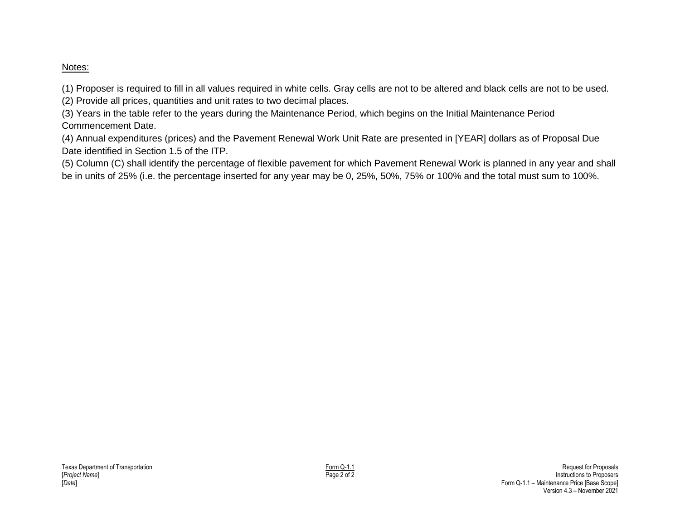### Notes:

(1) Proposer is required to fill in all values required in white cells. Gray cells are not to be altered and black cells are not to be used.

(2) Provide all prices, quantities and unit rates to two decimal places.

(3) Years in the table refer to the years during the Maintenance Period, which begins on the Initial Maintenance Period Commencement Date.

(4) Annual expenditures (prices) and the Pavement Renewal Work Unit Rate are presented in [YEAR] dollars as of Proposal Due Date identified in Section 1.5 of the ITP.

(5) Column (C) shall identify the percentage of flexible pavement for which Pavement Renewal Work is planned in any year and shall be in units of 25% (i.e. the percentage inserted for any year may be 0, 25%, 50%, 75% or 100% and the total must sum to 100%.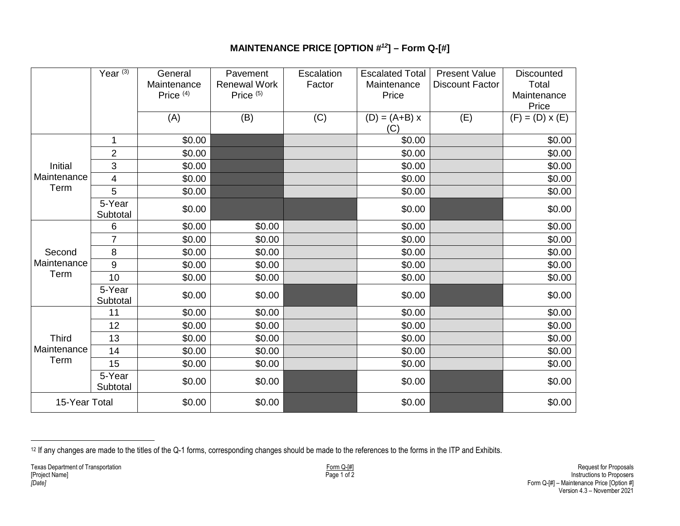# **MAINTENANCE PRICE [OPTION #***<sup>12</sup>***] – Form Q-[#]**

|               | Year $(3)$         | General     | Pavement             | Escalation | <b>Escalated Total</b> | <b>Present Value</b>   | <b>Discounted</b>      |
|---------------|--------------------|-------------|----------------------|------------|------------------------|------------------------|------------------------|
|               |                    | Maintenance | <b>Renewal Work</b>  | Factor     | Maintenance            | <b>Discount Factor</b> | Total                  |
|               |                    | Price $(4)$ | Price <sup>(5)</sup> |            | Price                  |                        | Maintenance            |
|               |                    |             |                      |            |                        |                        | Price                  |
|               |                    | (A)         | (B)                  | (C)        | $(D) = (A+B) x$<br>(C) | (E)                    | $(F) = (D) \times (E)$ |
|               | 1                  | \$0.00      |                      |            | \$0.00                 |                        | \$0.00                 |
|               | $\overline{2}$     | \$0.00      |                      |            | \$0.00                 |                        | \$0.00                 |
| Initial       | 3                  | \$0.00      |                      |            | \$0.00                 |                        | \$0.00                 |
| Maintenance   | 4                  | \$0.00      |                      |            | \$0.00                 |                        | \$0.00                 |
| Term          | 5                  | \$0.00      |                      |            | \$0.00                 |                        | \$0.00                 |
|               | 5-Year<br>Subtotal | \$0.00      |                      |            | \$0.00                 |                        | \$0.00                 |
|               | 6                  | \$0.00      | \$0.00               |            | \$0.00                 |                        | \$0.00                 |
|               | $\overline{7}$     | \$0.00      | \$0.00               |            | \$0.00                 |                        | \$0.00                 |
| Second        | 8                  | \$0.00      | \$0.00               |            | \$0.00                 |                        | \$0.00                 |
| Maintenance   | 9                  | \$0.00      | \$0.00               |            | \$0.00                 |                        | \$0.00                 |
| Term          | 10                 | \$0.00      | \$0.00               |            | \$0.00                 |                        | \$0.00                 |
|               | 5-Year<br>Subtotal | \$0.00      | \$0.00               |            | \$0.00                 |                        | \$0.00                 |
|               | 11                 | \$0.00      | \$0.00               |            | \$0.00                 |                        | \$0.00                 |
|               | 12                 | \$0.00      | \$0.00               |            | \$0.00                 |                        | \$0.00                 |
| <b>Third</b>  | 13                 | \$0.00      | \$0.00               |            | \$0.00                 |                        | \$0.00                 |
| Maintenance   | 14                 | \$0.00      | \$0.00               |            | \$0.00                 |                        | \$0.00                 |
| Term          | 15                 | \$0.00      | \$0.00               |            | \$0.00                 |                        | \$0.00                 |
|               | 5-Year<br>Subtotal | \$0.00      | \$0.00               |            | \$0.00                 |                        | \$0.00                 |
| 15-Year Total |                    | \$0.00      | \$0.00               |            | \$0.00                 |                        | \$0.00                 |

<sup>12</sup> If any changes are made to the titles of the Q-1 forms, corresponding changes should be made to the references to the forms in the ITP and Exhibits.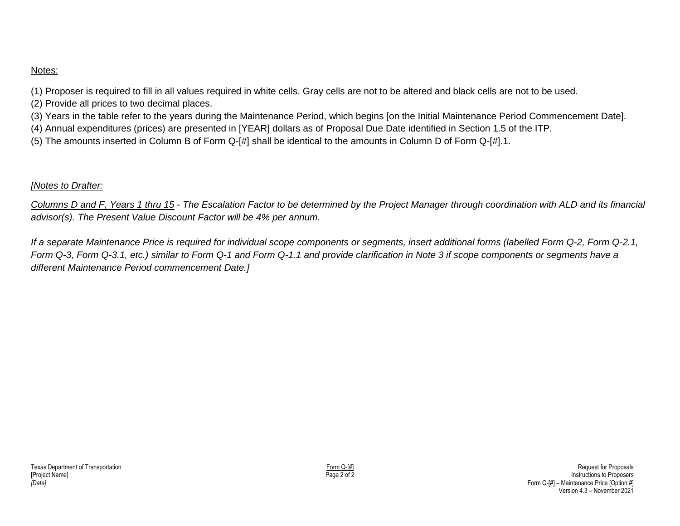#### Notes:

- (1) Proposer is required to fill in all values required in white cells. Gray cells are not to be altered and black cells are not to be used.
- (2) Provide all prices to two decimal places.
- (3) Years in the table refer to the years during the Maintenance Period, which begins [on the Initial Maintenance Period Commencement Date].
- (4) Annual expenditures (prices) are presented in [YEAR] dollars as of Proposal Due Date identified in Section 1.5 of the ITP.
- (5) The amounts inserted in Column B of Form Q-[#] shall be identical to the amounts in Column D of Form Q-[#].1.

### *[Notes to Drafter:*

*Columns D and F, Years 1 thru 15 - The Escalation Factor to be determined by the Project Manager through coordination with ALD and its financial advisor(s). The Present Value Discount Factor will be 4% per annum.* 

*If a separate Maintenance Price is required for individual scope components or segments, insert additional forms (labelled Form Q-2, Form Q-2.1, Form Q-3, Form Q-3.1, etc.) similar to Form Q-1 and Form Q-1.1 and provide clarification in Note 3 if scope components or segments have a different Maintenance Period commencement Date.]*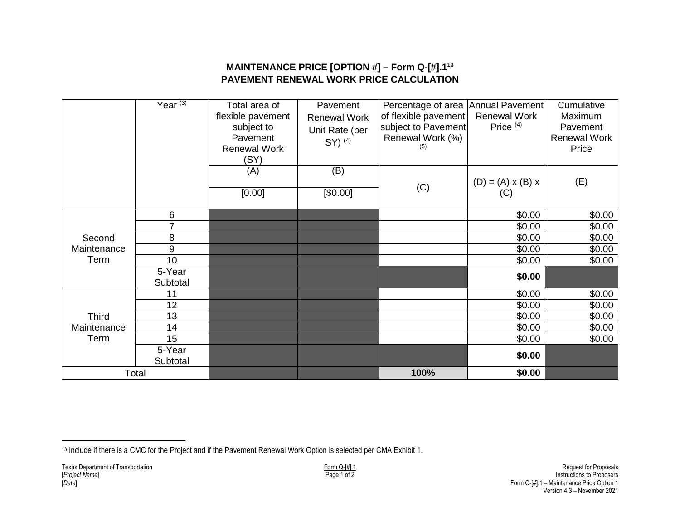### **MAINTENANCE PRICE [OPTION #] – Form Q-[#].1<sup>13</sup> PAVEMENT RENEWAL WORK PRICE CALCULATION**

|             | Year $(3)$         | Total area of<br>flexible pavement<br>subject to<br>Pavement<br><b>Renewal Work</b><br>(SY) | Pavement<br><b>Renewal Work</b><br>Unit Rate (per<br>SY) (4) | Percentage of area<br>of flexible pavement<br>subject to Pavement<br>Renewal Work (%)<br>(5) | Annual Pavement<br><b>Renewal Work</b><br>Price <sup>(4)</sup> | Cumulative<br>Maximum<br>Pavement<br><b>Renewal Work</b><br>Price |
|-------------|--------------------|---------------------------------------------------------------------------------------------|--------------------------------------------------------------|----------------------------------------------------------------------------------------------|----------------------------------------------------------------|-------------------------------------------------------------------|
|             |                    | (A)<br>[0.00]                                                                               | (B)<br>[\$0.00]                                              | (C)                                                                                          | $(D) = (A) \times (B) \times$<br>(C)                           | (E)                                                               |
|             | 6                  |                                                                                             |                                                              |                                                                                              | \$0.00                                                         | \$0.00                                                            |
|             | $\overline{7}$     |                                                                                             |                                                              |                                                                                              | \$0.00                                                         | \$0.00                                                            |
| Second      | 8                  |                                                                                             |                                                              |                                                                                              | \$0.00                                                         | \$0.00                                                            |
| Maintenance | 9                  |                                                                                             |                                                              |                                                                                              | \$0.00                                                         | \$0.00                                                            |
| Term        | 10                 |                                                                                             |                                                              |                                                                                              | \$0.00                                                         | \$0.00                                                            |
|             | 5-Year<br>Subtotal |                                                                                             |                                                              |                                                                                              | \$0.00                                                         |                                                                   |
|             | 11                 |                                                                                             |                                                              |                                                                                              | \$0.00                                                         | \$0.00                                                            |
|             | 12                 |                                                                                             |                                                              |                                                                                              | \$0.00                                                         | \$0.00                                                            |
| Third       | 13                 |                                                                                             |                                                              |                                                                                              | \$0.00                                                         | \$0.00                                                            |
| Maintenance | 14                 |                                                                                             |                                                              |                                                                                              | \$0.00                                                         | \$0.00                                                            |
| Term        | 15                 |                                                                                             |                                                              |                                                                                              | \$0.00                                                         | \$0.00                                                            |
|             | 5-Year<br>Subtotal |                                                                                             |                                                              |                                                                                              | \$0.00                                                         |                                                                   |
| Total       |                    |                                                                                             |                                                              | 100%                                                                                         | \$0.00                                                         |                                                                   |

<sup>13</sup> Include if there is a CMC for the Project and if the Pavement Renewal Work Option is selected per CMA Exhibit 1.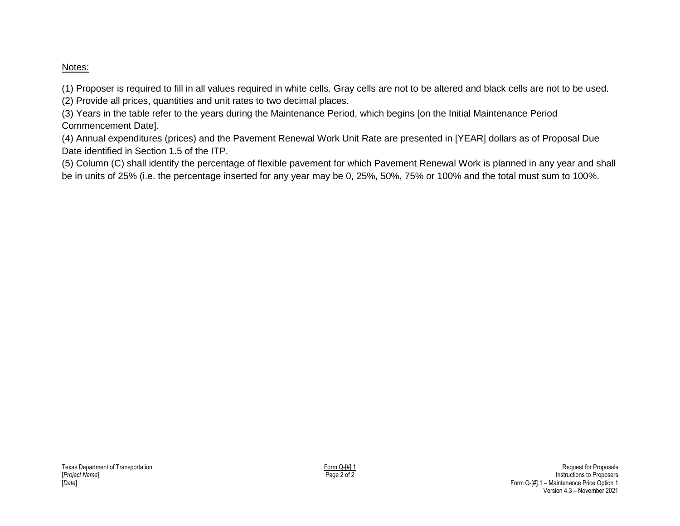### Notes:

(1) Proposer is required to fill in all values required in white cells. Gray cells are not to be altered and black cells are not to be used.

(2) Provide all prices, quantities and unit rates to two decimal places.

(3) Years in the table refer to the years during the Maintenance Period, which begins [on the Initial Maintenance Period Commencement Date].

(4) Annual expenditures (prices) and the Pavement Renewal Work Unit Rate are presented in [YEAR] dollars as of Proposal Due Date identified in Section 1.5 of the ITP.

(5) Column (C) shall identify the percentage of flexible pavement for which Pavement Renewal Work is planned in any year and shall be in units of 25% (i.e. the percentage inserted for any year may be 0, 25%, 50%, 75% or 100% and the total must sum to 100%.